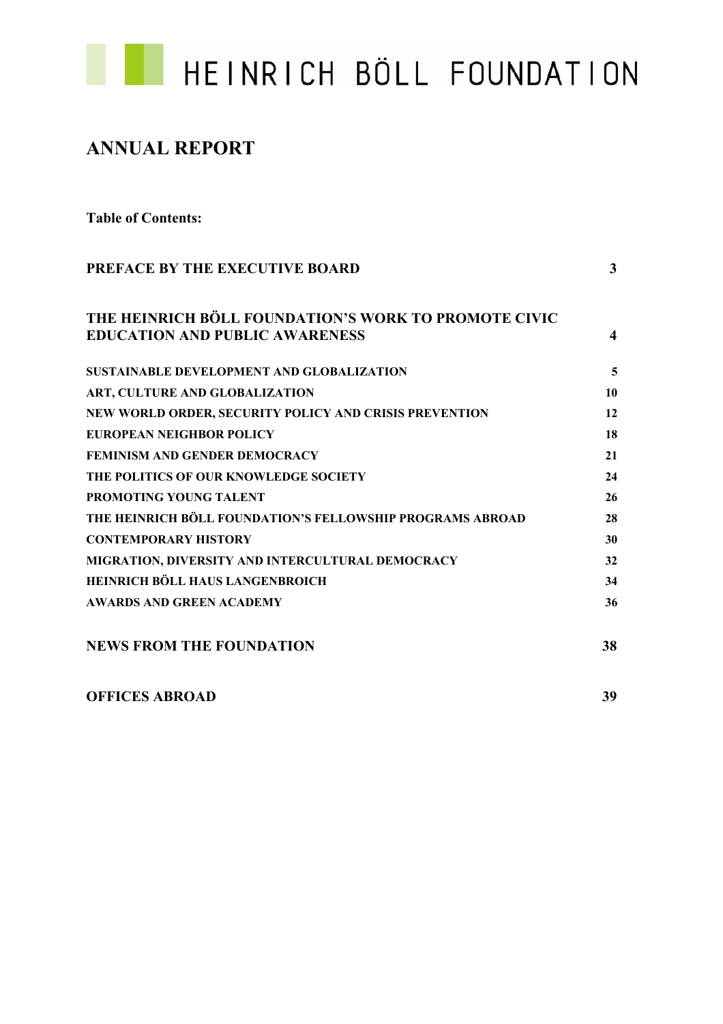

# **ANNUAL REPORT**

**Table of Contents:** 

| PREFACE BY THE EXECUTIVE BOARD                                                                | 3  |
|-----------------------------------------------------------------------------------------------|----|
| THE HEINRICH BÖLL FOUNDATION'S WORK TO PROMOTE CIVIC<br><b>EDUCATION AND PUBLIC AWARENESS</b> | 4  |
| <b>SUSTAINABLE DEVELOPMENT AND GLOBALIZATION</b>                                              | 5  |
| ART, CULTURE AND GLOBALIZATION                                                                | 10 |
| NEW WORLD ORDER, SECURITY POLICY AND CRISIS PREVENTION                                        | 12 |
| EUROPEAN NEIGHBOR POLICY                                                                      | 18 |
| <b>FEMINISM AND GENDER DEMOCRACY</b>                                                          | 21 |
| THE POLITICS OF OUR KNOWLEDGE SOCIETY                                                         | 24 |
| <b>PROMOTING YOUNG TALENT</b>                                                                 | 26 |
| THE HEINRICH BÖLL FOUNDATION'S FELLOWSHIP PROGRAMS ABROAD                                     | 28 |
| <b>CONTEMPORARY HISTORY</b>                                                                   | 30 |
| MIGRATION, DIVERSITY AND INTERCULTURAL DEMOCRACY                                              | 32 |
| HEINRICH BÖLL HAUS LANGENBROICH                                                               | 34 |
| <b>AWARDS AND GREEN ACADEMY</b>                                                               | 36 |
| <b>NEWS FROM THE FOUNDATION</b>                                                               | 38 |
| <b>OFFICES ABROAD</b>                                                                         | 39 |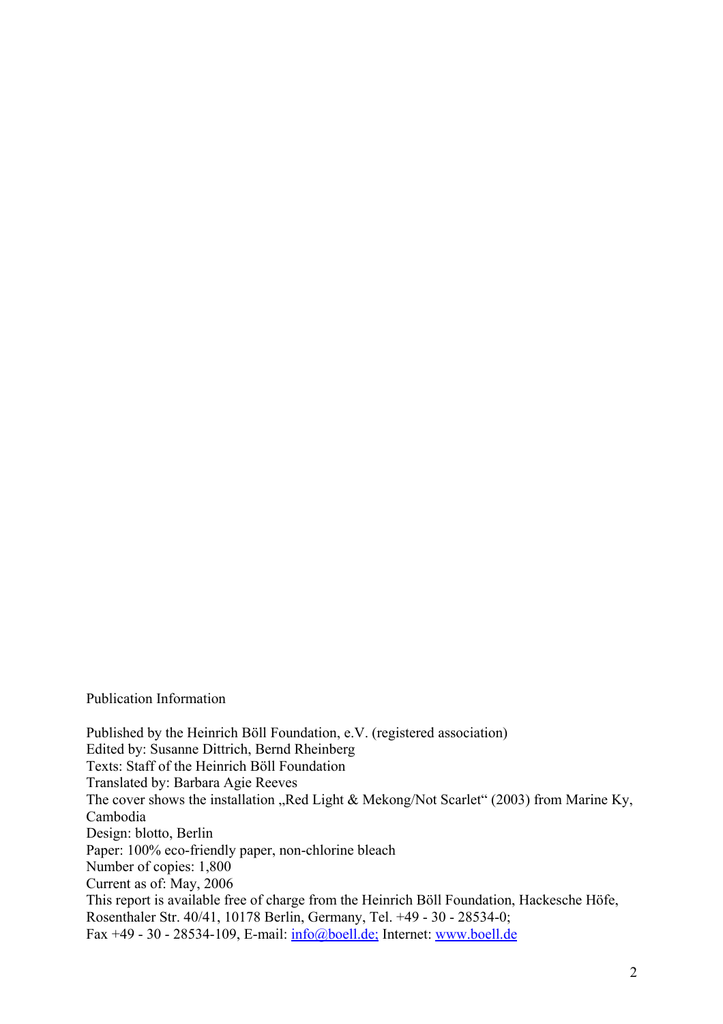### Publication Information

Published by the Heinrich Böll Foundation, e.V. (registered association) Edited by: Susanne Dittrich, Bernd Rheinberg Texts: Staff of the Heinrich Böll Foundation Translated by: Barbara Agie Reeves The cover shows the installation "Red Light & Mekong/Not Scarlet" (2003) from Marine Ky, Cambodia Design: blotto, Berlin Paper: 100% eco-friendly paper, non-chlorine bleach Number of copies: 1,800 Current as of: May, 2006 This report is available free of charge from the Heinrich Böll Foundation, Hackesche Höfe, Rosenthaler Str. 40/41, 10178 Berlin, Germany, Tel. +49 - 30 - 28534-0; Fax +49 - 30 - 28534-109, E-mail: info@boell.de; Internet: www.boell.de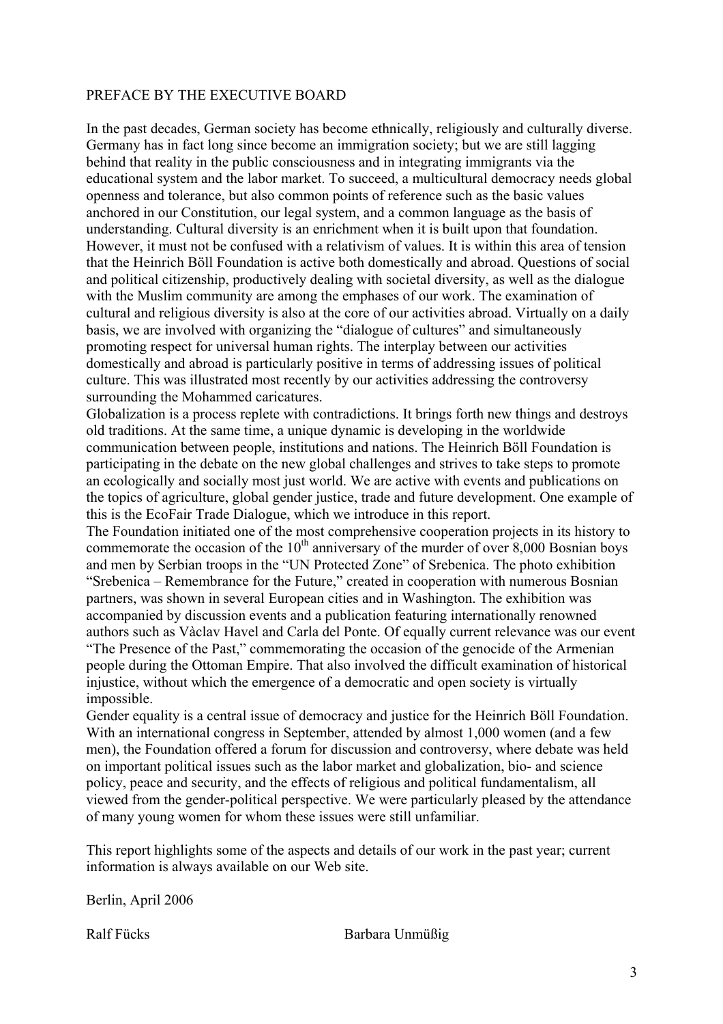# PREFACE BY THE EXECUTIVE BOARD

In the past decades, German society has become ethnically, religiously and culturally diverse. Germany has in fact long since become an immigration society; but we are still lagging behind that reality in the public consciousness and in integrating immigrants via the educational system and the labor market. To succeed, a multicultural democracy needs global openness and tolerance, but also common points of reference such as the basic values anchored in our Constitution, our legal system, and a common language as the basis of understanding. Cultural diversity is an enrichment when it is built upon that foundation. However, it must not be confused with a relativism of values. It is within this area of tension that the Heinrich Böll Foundation is active both domestically and abroad. Questions of social and political citizenship, productively dealing with societal diversity, as well as the dialogue with the Muslim community are among the emphases of our work. The examination of cultural and religious diversity is also at the core of our activities abroad. Virtually on a daily basis, we are involved with organizing the "dialogue of cultures" and simultaneously promoting respect for universal human rights. The interplay between our activities domestically and abroad is particularly positive in terms of addressing issues of political culture. This was illustrated most recently by our activities addressing the controversy surrounding the Mohammed caricatures.

Globalization is a process replete with contradictions. It brings forth new things and destroys old traditions. At the same time, a unique dynamic is developing in the worldwide communication between people, institutions and nations. The Heinrich Böll Foundation is participating in the debate on the new global challenges and strives to take steps to promote an ecologically and socially most just world. We are active with events and publications on the topics of agriculture, global gender justice, trade and future development. One example of this is the EcoFair Trade Dialogue, which we introduce in this report.

The Foundation initiated one of the most comprehensive cooperation projects in its history to commemorate the occasion of the  $10^{th}$  anniversary of the murder of over 8,000 Bosnian boys and men by Serbian troops in the "UN Protected Zone" of Srebenica. The photo exhibition "Srebenica – Remembrance for the Future," created in cooperation with numerous Bosnian partners, was shown in several European cities and in Washington. The exhibition was accompanied by discussion events and a publication featuring internationally renowned authors such as Vàclav Havel and Carla del Ponte. Of equally current relevance was our event "The Presence of the Past," commemorating the occasion of the genocide of the Armenian people during the Ottoman Empire. That also involved the difficult examination of historical injustice, without which the emergence of a democratic and open society is virtually impossible.

Gender equality is a central issue of democracy and justice for the Heinrich Böll Foundation. With an international congress in September, attended by almost 1,000 women (and a few men), the Foundation offered a forum for discussion and controversy, where debate was held on important political issues such as the labor market and globalization, bio- and science policy, peace and security, and the effects of religious and political fundamentalism, all viewed from the gender-political perspective. We were particularly pleased by the attendance of many young women for whom these issues were still unfamiliar.

This report highlights some of the aspects and details of our work in the past year; current information is always available on our Web site.

Berlin, April 2006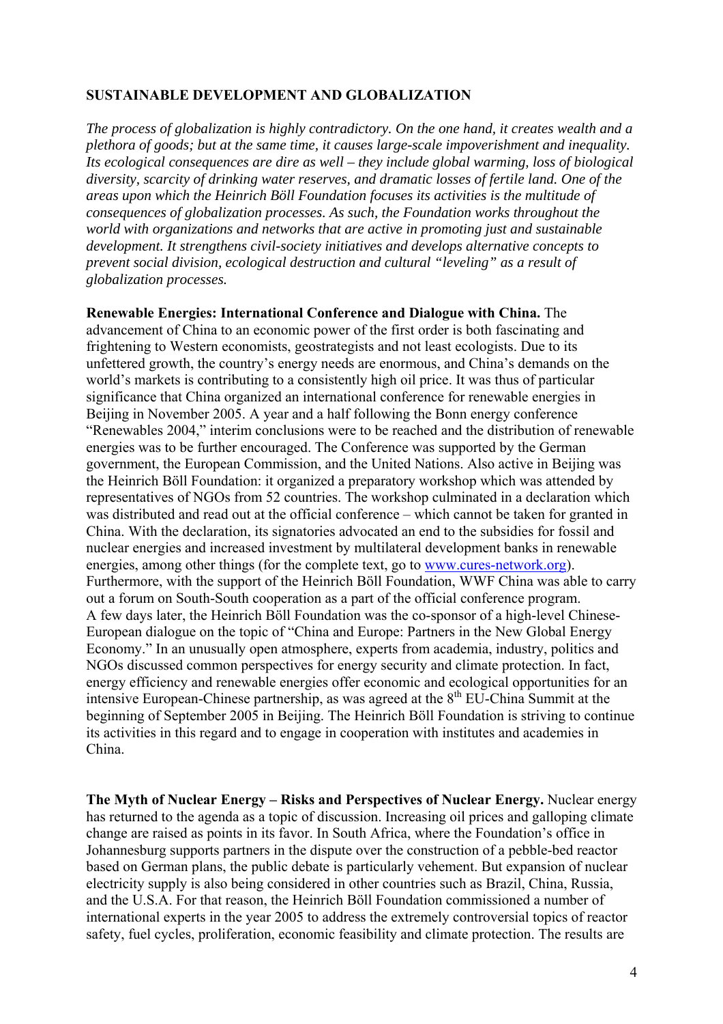### **SUSTAINABLE DEVELOPMENT AND GLOBALIZATION**

*The process of globalization is highly contradictory. On the one hand, it creates wealth and a plethora of goods; but at the same time, it causes large-scale impoverishment and inequality. Its ecological consequences are dire as well – they include global warming, loss of biological diversity, scarcity of drinking water reserves, and dramatic losses of fertile land. One of the areas upon which the Heinrich Böll Foundation focuses its activities is the multitude of consequences of globalization processes. As such, the Foundation works throughout the world with organizations and networks that are active in promoting just and sustainable development. It strengthens civil-society initiatives and develops alternative concepts to prevent social division, ecological destruction and cultural "leveling" as a result of globalization processes.* 

**Renewable Energies: International Conference and Dialogue with China.** The advancement of China to an economic power of the first order is both fascinating and frightening to Western economists, geostrategists and not least ecologists. Due to its unfettered growth, the country's energy needs are enormous, and China's demands on the world's markets is contributing to a consistently high oil price. It was thus of particular significance that China organized an international conference for renewable energies in Beijing in November 2005. A year and a half following the Bonn energy conference "Renewables 2004," interim conclusions were to be reached and the distribution of renewable energies was to be further encouraged. The Conference was supported by the German government, the European Commission, and the United Nations. Also active in Beijing was the Heinrich Böll Foundation: it organized a preparatory workshop which was attended by representatives of NGOs from 52 countries. The workshop culminated in a declaration which was distributed and read out at the official conference – which cannot be taken for granted in China. With the declaration, its signatories advocated an end to the subsidies for fossil and nuclear energies and increased investment by multilateral development banks in renewable energies, among other things (for the complete text, go to www.cures-network.org). Furthermore, with the support of the Heinrich Böll Foundation, WWF China was able to carry out a forum on South-South cooperation as a part of the official conference program. A few days later, the Heinrich Böll Foundation was the co-sponsor of a high-level Chinese-European dialogue on the topic of "China and Europe: Partners in the New Global Energy Economy." In an unusually open atmosphere, experts from academia, industry, politics and NGOs discussed common perspectives for energy security and climate protection. In fact, energy efficiency and renewable energies offer economic and ecological opportunities for an intensive European-Chinese partnership, as was agreed at the  $8<sup>th</sup> EU-China Summit at the$ beginning of September 2005 in Beijing. The Heinrich Böll Foundation is striving to continue its activities in this regard and to engage in cooperation with institutes and academies in China.

**The Myth of Nuclear Energy – Risks and Perspectives of Nuclear Energy.** Nuclear energy has returned to the agenda as a topic of discussion. Increasing oil prices and galloping climate change are raised as points in its favor. In South Africa, where the Foundation's office in Johannesburg supports partners in the dispute over the construction of a pebble-bed reactor based on German plans, the public debate is particularly vehement. But expansion of nuclear electricity supply is also being considered in other countries such as Brazil, China, Russia, and the U.S.A. For that reason, the Heinrich Böll Foundation commissioned a number of international experts in the year 2005 to address the extremely controversial topics of reactor safety, fuel cycles, proliferation, economic feasibility and climate protection. The results are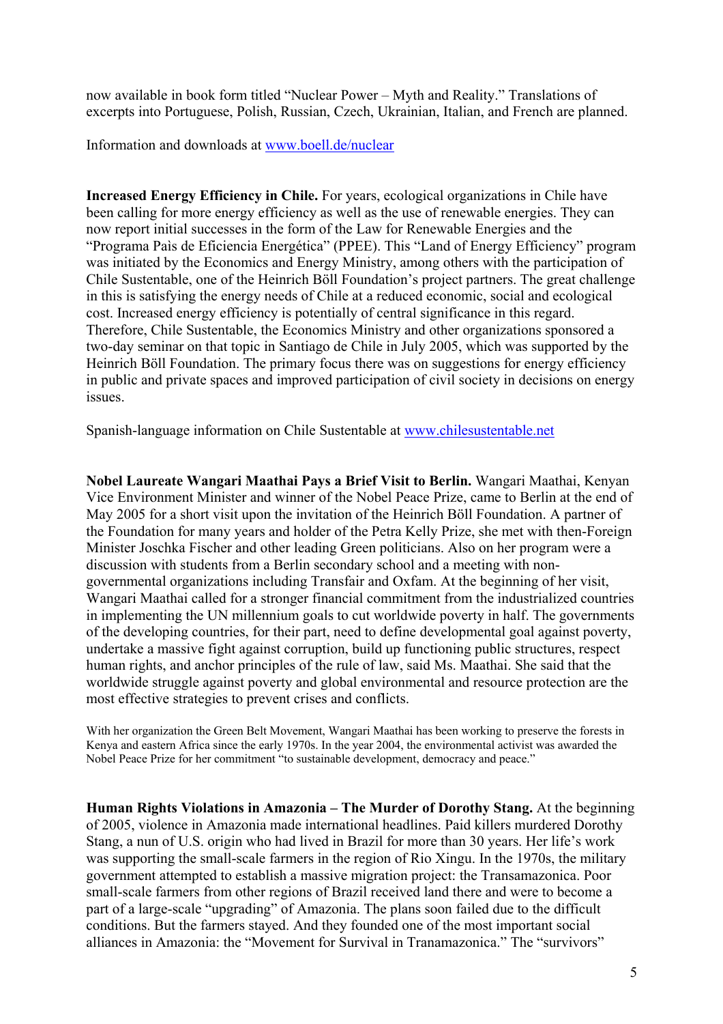now available in book form titled "Nuclear Power – Myth and Reality." Translations of excerpts into Portuguese, Polish, Russian, Czech, Ukrainian, Italian, and French are planned.

Information and downloads at www.boell.de/nuclear

**Increased Energy Efficiency in Chile.** For years, ecological organizations in Chile have been calling for more energy efficiency as well as the use of renewable energies. They can now report initial successes in the form of the Law for Renewable Energies and the "Programa Paìs de Eficiencia Energética" (PPEE). This "Land of Energy Efficiency" program was initiated by the Economics and Energy Ministry, among others with the participation of Chile Sustentable, one of the Heinrich Böll Foundation's project partners. The great challenge in this is satisfying the energy needs of Chile at a reduced economic, social and ecological cost. Increased energy efficiency is potentially of central significance in this regard. Therefore, Chile Sustentable, the Economics Ministry and other organizations sponsored a two-day seminar on that topic in Santiago de Chile in July 2005, which was supported by the Heinrich Böll Foundation. The primary focus there was on suggestions for energy efficiency in public and private spaces and improved participation of civil society in decisions on energy issues.

Spanish-language information on Chile Sustentable at www.chilesustentable.net

**Nobel Laureate Wangari Maathai Pays a Brief Visit to Berlin.** Wangari Maathai, Kenyan Vice Environment Minister and winner of the Nobel Peace Prize, came to Berlin at the end of May 2005 for a short visit upon the invitation of the Heinrich Böll Foundation. A partner of the Foundation for many years and holder of the Petra Kelly Prize, she met with then-Foreign Minister Joschka Fischer and other leading Green politicians. Also on her program were a discussion with students from a Berlin secondary school and a meeting with nongovernmental organizations including Transfair and Oxfam. At the beginning of her visit, Wangari Maathai called for a stronger financial commitment from the industrialized countries in implementing the UN millennium goals to cut worldwide poverty in half. The governments of the developing countries, for their part, need to define developmental goal against poverty, undertake a massive fight against corruption, build up functioning public structures, respect human rights, and anchor principles of the rule of law, said Ms. Maathai. She said that the worldwide struggle against poverty and global environmental and resource protection are the most effective strategies to prevent crises and conflicts.

With her organization the Green Belt Movement, Wangari Maathai has been working to preserve the forests in Kenya and eastern Africa since the early 1970s. In the year 2004, the environmental activist was awarded the Nobel Peace Prize for her commitment "to sustainable development, democracy and peace."

**Human Rights Violations in Amazonia – The Murder of Dorothy Stang.** At the beginning of 2005, violence in Amazonia made international headlines. Paid killers murdered Dorothy Stang, a nun of U.S. origin who had lived in Brazil for more than 30 years. Her life's work was supporting the small-scale farmers in the region of Rio Xingu. In the 1970s, the military government attempted to establish a massive migration project: the Transamazonica. Poor small-scale farmers from other regions of Brazil received land there and were to become a part of a large-scale "upgrading" of Amazonia. The plans soon failed due to the difficult conditions. But the farmers stayed. And they founded one of the most important social alliances in Amazonia: the "Movement for Survival in Tranamazonica." The "survivors"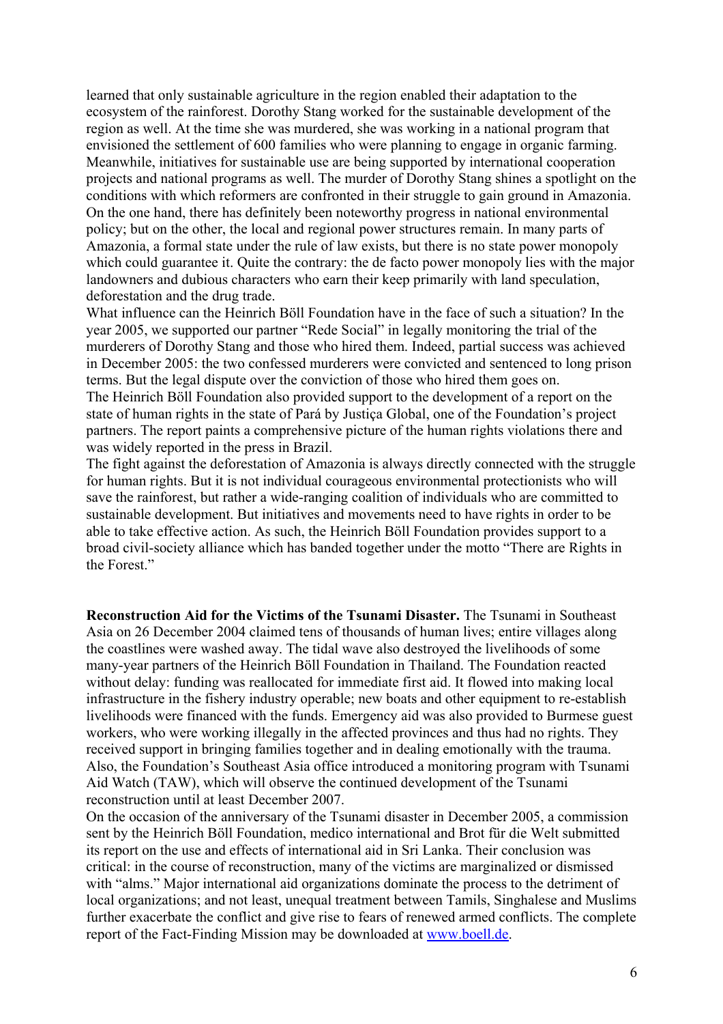learned that only sustainable agriculture in the region enabled their adaptation to the ecosystem of the rainforest. Dorothy Stang worked for the sustainable development of the region as well. At the time she was murdered, she was working in a national program that envisioned the settlement of 600 families who were planning to engage in organic farming. Meanwhile, initiatives for sustainable use are being supported by international cooperation projects and national programs as well. The murder of Dorothy Stang shines a spotlight on the conditions with which reformers are confronted in their struggle to gain ground in Amazonia. On the one hand, there has definitely been noteworthy progress in national environmental policy; but on the other, the local and regional power structures remain. In many parts of Amazonia, a formal state under the rule of law exists, but there is no state power monopoly which could guarantee it. Ouite the contrary: the de facto power monopoly lies with the major landowners and dubious characters who earn their keep primarily with land speculation, deforestation and the drug trade.

What influence can the Heinrich Böll Foundation have in the face of such a situation? In the year 2005, we supported our partner "Rede Social" in legally monitoring the trial of the murderers of Dorothy Stang and those who hired them. Indeed, partial success was achieved in December 2005: the two confessed murderers were convicted and sentenced to long prison terms. But the legal dispute over the conviction of those who hired them goes on. The Heinrich Böll Foundation also provided support to the development of a report on the state of human rights in the state of Pará by Justiça Global, one of the Foundation's project partners. The report paints a comprehensive picture of the human rights violations there and was widely reported in the press in Brazil.

The fight against the deforestation of Amazonia is always directly connected with the struggle for human rights. But it is not individual courageous environmental protectionists who will save the rainforest, but rather a wide-ranging coalition of individuals who are committed to sustainable development. But initiatives and movements need to have rights in order to be able to take effective action. As such, the Heinrich Böll Foundation provides support to a broad civil-society alliance which has banded together under the motto "There are Rights in the Forest."

**Reconstruction Aid for the Victims of the Tsunami Disaster.** The Tsunami in Southeast Asia on 26 December 2004 claimed tens of thousands of human lives; entire villages along the coastlines were washed away. The tidal wave also destroyed the livelihoods of some many-year partners of the Heinrich Böll Foundation in Thailand. The Foundation reacted without delay: funding was reallocated for immediate first aid. It flowed into making local infrastructure in the fishery industry operable; new boats and other equipment to re-establish livelihoods were financed with the funds. Emergency aid was also provided to Burmese guest workers, who were working illegally in the affected provinces and thus had no rights. They received support in bringing families together and in dealing emotionally with the trauma. Also, the Foundation's Southeast Asia office introduced a monitoring program with Tsunami Aid Watch (TAW), which will observe the continued development of the Tsunami reconstruction until at least December 2007.

On the occasion of the anniversary of the Tsunami disaster in December 2005, a commission sent by the Heinrich Böll Foundation, medico international and Brot für die Welt submitted its report on the use and effects of international aid in Sri Lanka. Their conclusion was critical: in the course of reconstruction, many of the victims are marginalized or dismissed with "alms." Major international aid organizations dominate the process to the detriment of local organizations; and not least, unequal treatment between Tamils, Singhalese and Muslims further exacerbate the conflict and give rise to fears of renewed armed conflicts. The complete report of the Fact-Finding Mission may be downloaded at www.boell.de.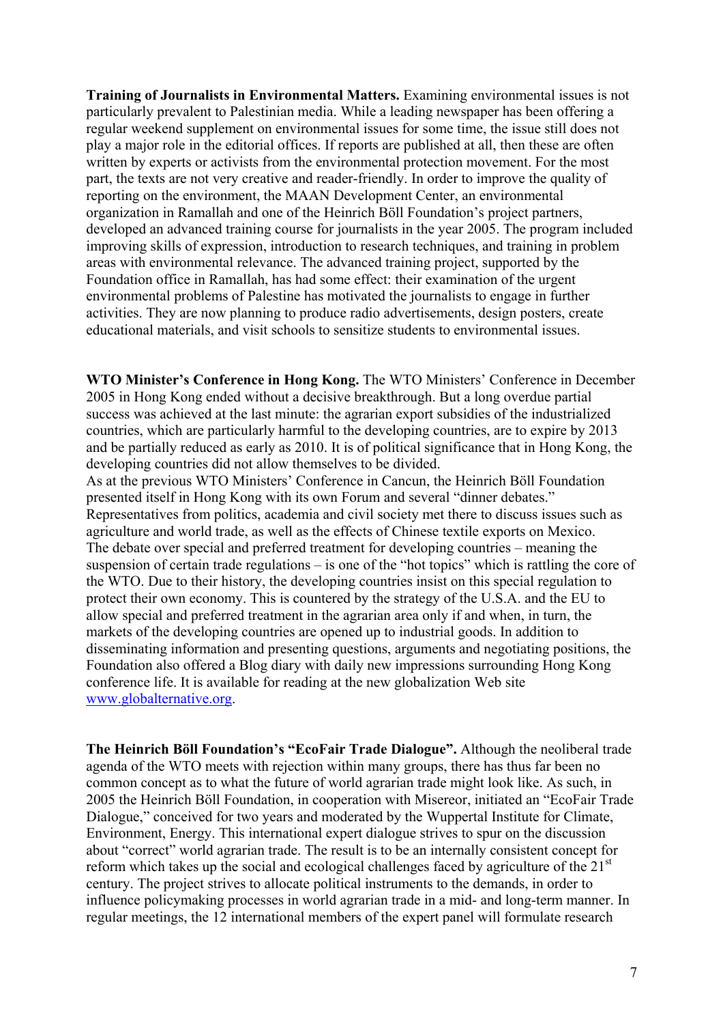**Training of Journalists in Environmental Matters.** Examining environmental issues is not particularly prevalent to Palestinian media. While a leading newspaper has been offering a regular weekend supplement on environmental issues for some time, the issue still does not play a major role in the editorial offices. If reports are published at all, then these are often written by experts or activists from the environmental protection movement. For the most part, the texts are not very creative and reader-friendly. In order to improve the quality of reporting on the environment, the MAAN Development Center, an environmental organization in Ramallah and one of the Heinrich Böll Foundation's project partners, developed an advanced training course for journalists in the year 2005. The program included improving skills of expression, introduction to research techniques, and training in problem areas with environmental relevance. The advanced training project, supported by the Foundation office in Ramallah, has had some effect: their examination of the urgent environmental problems of Palestine has motivated the journalists to engage in further activities. They are now planning to produce radio advertisements, design posters, create educational materials, and visit schools to sensitize students to environmental issues.

**WTO Minister's Conference in Hong Kong.** The WTO Ministers' Conference in December 2005 in Hong Kong ended without a decisive breakthrough. But a long overdue partial success was achieved at the last minute: the agrarian export subsidies of the industrialized countries, which are particularly harmful to the developing countries, are to expire by 2013 and be partially reduced as early as 2010. It is of political significance that in Hong Kong, the developing countries did not allow themselves to be divided.

As at the previous WTO Ministers' Conference in Cancun, the Heinrich Böll Foundation presented itself in Hong Kong with its own Forum and several "dinner debates." Representatives from politics, academia and civil society met there to discuss issues such as agriculture and world trade, as well as the effects of Chinese textile exports on Mexico. The debate over special and preferred treatment for developing countries – meaning the suspension of certain trade regulations – is one of the "hot topics" which is rattling the core of the WTO. Due to their history, the developing countries insist on this special regulation to protect their own economy. This is countered by the strategy of the U.S.A. and the EU to allow special and preferred treatment in the agrarian area only if and when, in turn, the markets of the developing countries are opened up to industrial goods. In addition to disseminating information and presenting questions, arguments and negotiating positions, the Foundation also offered a Blog diary with daily new impressions surrounding Hong Kong conference life. It is available for reading at the new globalization Web site www.globalternative.org.

**The Heinrich Böll Foundation's "EcoFair Trade Dialogue".** Although the neoliberal trade agenda of the WTO meets with rejection within many groups, there has thus far been no common concept as to what the future of world agrarian trade might look like. As such, in 2005 the Heinrich Böll Foundation, in cooperation with Misereor, initiated an "EcoFair Trade Dialogue," conceived for two years and moderated by the Wuppertal Institute for Climate, Environment, Energy. This international expert dialogue strives to spur on the discussion about "correct" world agrarian trade. The result is to be an internally consistent concept for reform which takes up the social and ecological challenges faced by agriculture of the 21<sup>st</sup> century. The project strives to allocate political instruments to the demands, in order to influence policymaking processes in world agrarian trade in a mid- and long-term manner. In regular meetings, the 12 international members of the expert panel will formulate research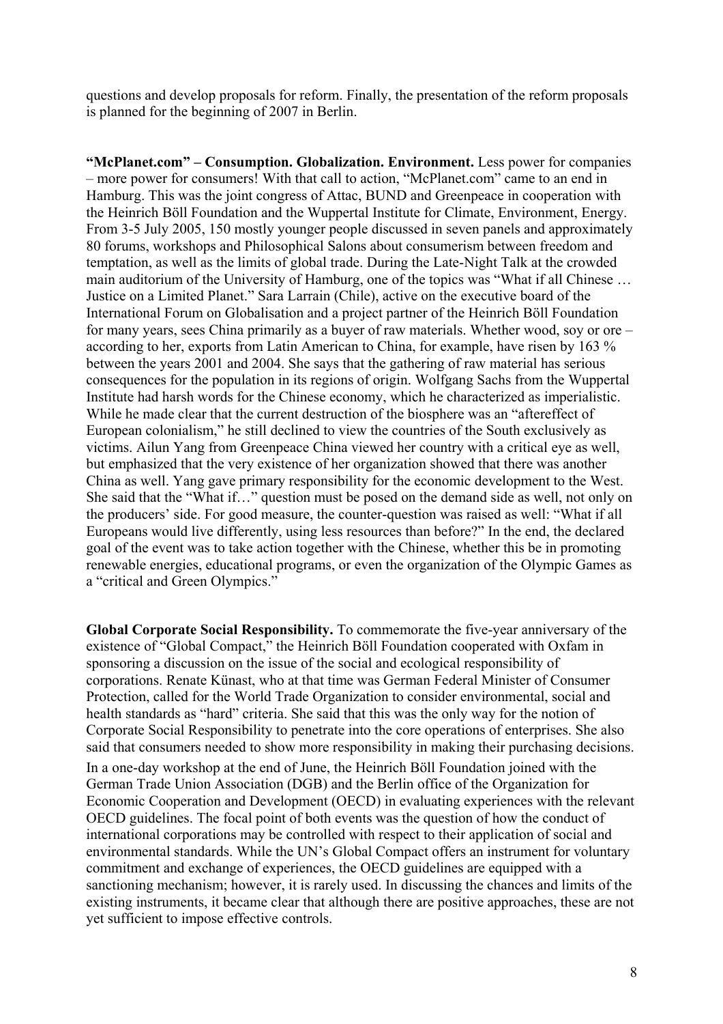questions and develop proposals for reform. Finally, the presentation of the reform proposals is planned for the beginning of 2007 in Berlin.

**"McPlanet.com" – Consumption. Globalization. Environment.** Less power for companies – more power for consumers! With that call to action, "McPlanet.com" came to an end in Hamburg. This was the joint congress of Attac, BUND and Greenpeace in cooperation with the Heinrich Böll Foundation and the Wuppertal Institute for Climate, Environment, Energy. From 3-5 July 2005, 150 mostly younger people discussed in seven panels and approximately 80 forums, workshops and Philosophical Salons about consumerism between freedom and temptation, as well as the limits of global trade. During the Late-Night Talk at the crowded main auditorium of the University of Hamburg, one of the topics was "What if all Chinese … Justice on a Limited Planet." Sara Larrain (Chile), active on the executive board of the International Forum on Globalisation and a project partner of the Heinrich Böll Foundation for many years, sees China primarily as a buyer of raw materials. Whether wood, soy or ore – according to her, exports from Latin American to China, for example, have risen by 163 % between the years 2001 and 2004. She says that the gathering of raw material has serious consequences for the population in its regions of origin. Wolfgang Sachs from the Wuppertal Institute had harsh words for the Chinese economy, which he characterized as imperialistic. While he made clear that the current destruction of the biosphere was an "aftereffect of European colonialism," he still declined to view the countries of the South exclusively as victims. Ailun Yang from Greenpeace China viewed her country with a critical eye as well, but emphasized that the very existence of her organization showed that there was another China as well. Yang gave primary responsibility for the economic development to the West. She said that the "What if…" question must be posed on the demand side as well, not only on the producers' side. For good measure, the counter-question was raised as well: "What if all Europeans would live differently, using less resources than before?" In the end, the declared goal of the event was to take action together with the Chinese, whether this be in promoting renewable energies, educational programs, or even the organization of the Olympic Games as a "critical and Green Olympics."

**Global Corporate Social Responsibility.** To commemorate the five-year anniversary of the existence of "Global Compact," the Heinrich Böll Foundation cooperated with Oxfam in sponsoring a discussion on the issue of the social and ecological responsibility of corporations. Renate Künast, who at that time was German Federal Minister of Consumer Protection, called for the World Trade Organization to consider environmental, social and health standards as "hard" criteria. She said that this was the only way for the notion of Corporate Social Responsibility to penetrate into the core operations of enterprises. She also said that consumers needed to show more responsibility in making their purchasing decisions. In a one-day workshop at the end of June, the Heinrich Böll Foundation joined with the German Trade Union Association (DGB) and the Berlin office of the Organization for Economic Cooperation and Development (OECD) in evaluating experiences with the relevant OECD guidelines. The focal point of both events was the question of how the conduct of international corporations may be controlled with respect to their application of social and environmental standards. While the UN's Global Compact offers an instrument for voluntary commitment and exchange of experiences, the OECD guidelines are equipped with a sanctioning mechanism; however, it is rarely used. In discussing the chances and limits of the existing instruments, it became clear that although there are positive approaches, these are not yet sufficient to impose effective controls.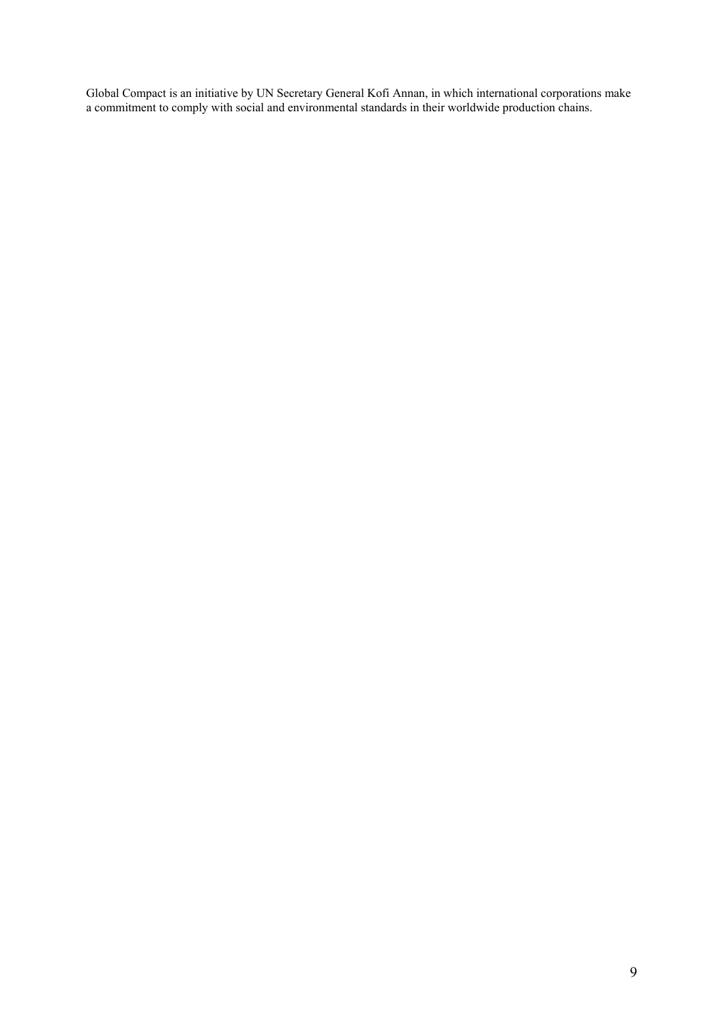Global Compact is an initiative by UN Secretary General Kofi Annan, in which international corporations make a commitment to comply with social and environmental standards in their worldwide production chains.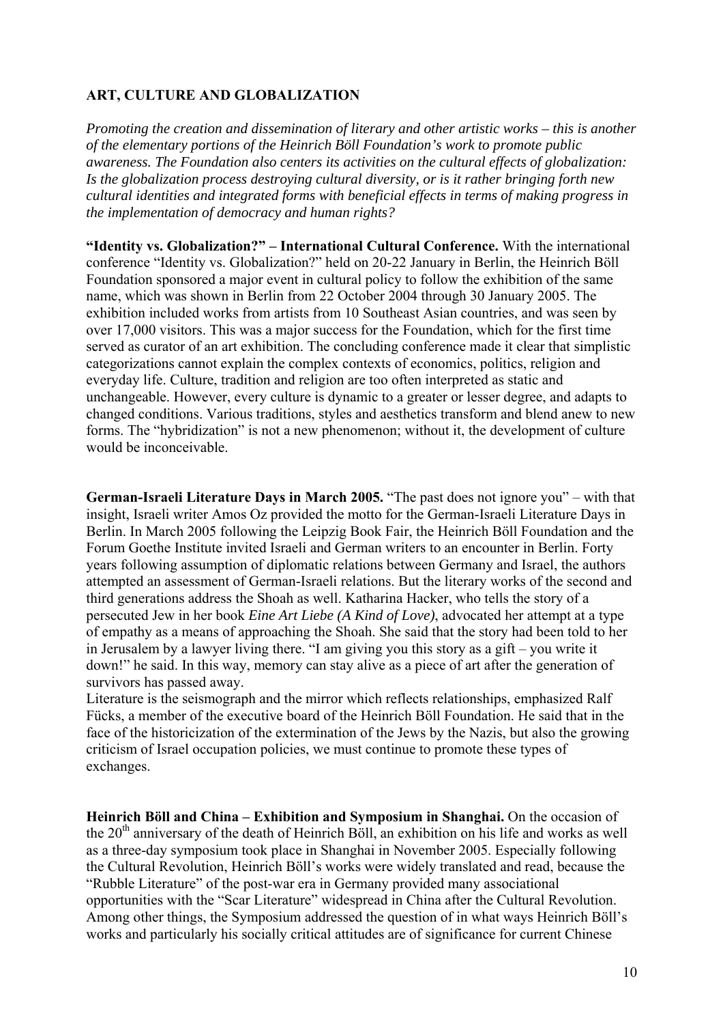# **ART, CULTURE AND GLOBALIZATION**

*Promoting the creation and dissemination of literary and other artistic works – this is another of the elementary portions of the Heinrich Böll Foundation's work to promote public awareness. The Foundation also centers its activities on the cultural effects of globalization: Is the globalization process destroying cultural diversity, or is it rather bringing forth new cultural identities and integrated forms with beneficial effects in terms of making progress in the implementation of democracy and human rights?* 

**"Identity vs. Globalization?" – International Cultural Conference.** With the international conference "Identity vs. Globalization?" held on 20-22 January in Berlin, the Heinrich Böll Foundation sponsored a major event in cultural policy to follow the exhibition of the same name, which was shown in Berlin from 22 October 2004 through 30 January 2005. The exhibition included works from artists from 10 Southeast Asian countries, and was seen by over 17,000 visitors. This was a major success for the Foundation, which for the first time served as curator of an art exhibition. The concluding conference made it clear that simplistic categorizations cannot explain the complex contexts of economics, politics, religion and everyday life. Culture, tradition and religion are too often interpreted as static and unchangeable. However, every culture is dynamic to a greater or lesser degree, and adapts to changed conditions. Various traditions, styles and aesthetics transform and blend anew to new forms. The "hybridization" is not a new phenomenon; without it, the development of culture would be inconceivable.

**German-Israeli Literature Days in March 2005.** "The past does not ignore you" – with that insight, Israeli writer Amos Oz provided the motto for the German-Israeli Literature Days in Berlin. In March 2005 following the Leipzig Book Fair, the Heinrich Böll Foundation and the Forum Goethe Institute invited Israeli and German writers to an encounter in Berlin. Forty years following assumption of diplomatic relations between Germany and Israel, the authors attempted an assessment of German-Israeli relations. But the literary works of the second and third generations address the Shoah as well. Katharina Hacker, who tells the story of a persecuted Jew in her book *Eine Art Liebe (A Kind of Love)*, advocated her attempt at a type of empathy as a means of approaching the Shoah. She said that the story had been told to her in Jerusalem by a lawyer living there. "I am giving you this story as a gift – you write it down!" he said. In this way, memory can stay alive as a piece of art after the generation of survivors has passed away.

Literature is the seismograph and the mirror which reflects relationships, emphasized Ralf Fücks, a member of the executive board of the Heinrich Böll Foundation. He said that in the face of the historicization of the extermination of the Jews by the Nazis, but also the growing criticism of Israel occupation policies, we must continue to promote these types of exchanges.

**Heinrich Böll and China – Exhibition and Symposium in Shanghai.** On the occasion of the  $20<sup>th</sup>$  anniversary of the death of Heinrich Böll, an exhibition on his life and works as well as a three-day symposium took place in Shanghai in November 2005. Especially following the Cultural Revolution, Heinrich Böll's works were widely translated and read, because the "Rubble Literature" of the post-war era in Germany provided many associational opportunities with the "Scar Literature" widespread in China after the Cultural Revolution. Among other things, the Symposium addressed the question of in what ways Heinrich Böll's works and particularly his socially critical attitudes are of significance for current Chinese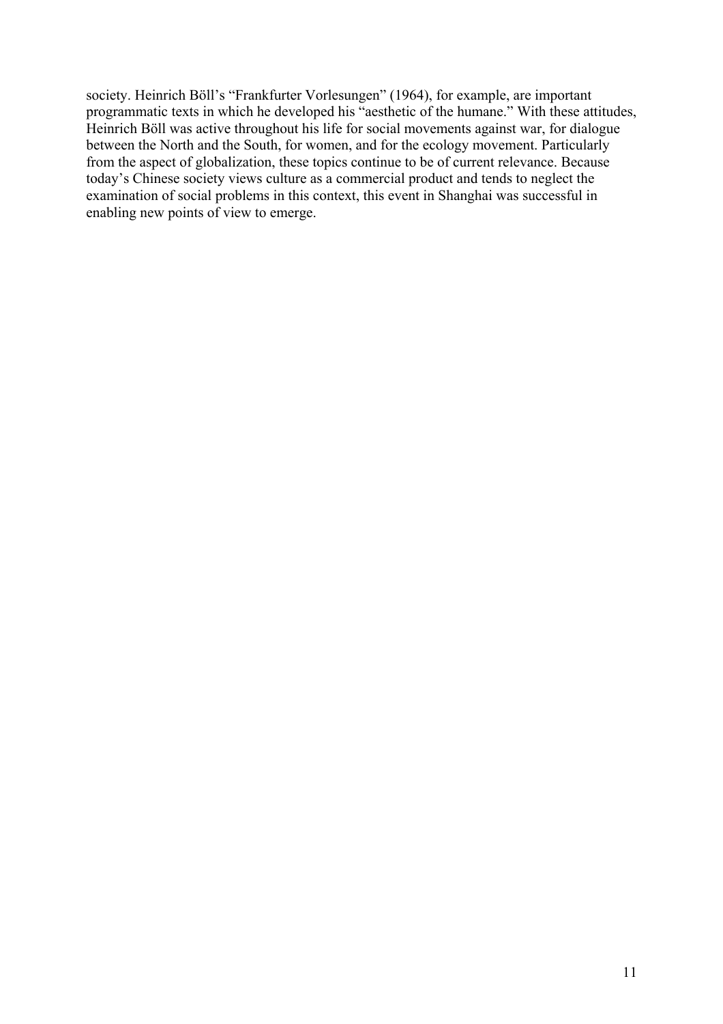society. Heinrich Böll's "Frankfurter Vorlesungen" (1964), for example, are important programmatic texts in which he developed his "aesthetic of the humane." With these attitudes, Heinrich Böll was active throughout his life for social movements against war, for dialogue between the North and the South, for women, and for the ecology movement. Particularly from the aspect of globalization, these topics continue to be of current relevance. Because today's Chinese society views culture as a commercial product and tends to neglect the examination of social problems in this context, this event in Shanghai was successful in enabling new points of view to emerge.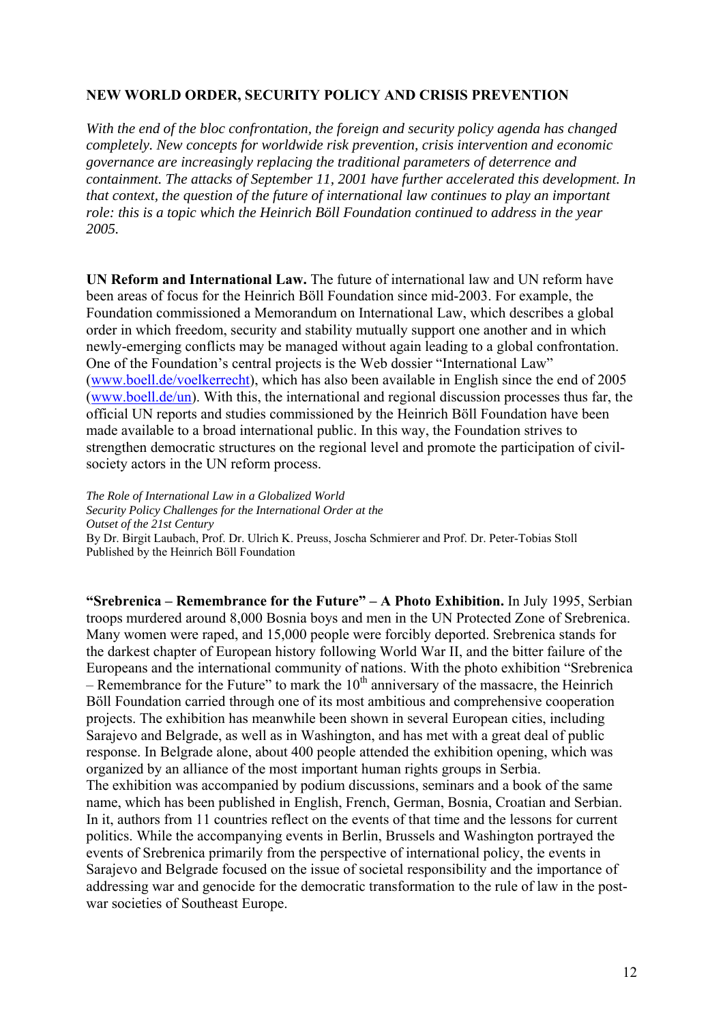### **NEW WORLD ORDER, SECURITY POLICY AND CRISIS PREVENTION**

*With the end of the bloc confrontation, the foreign and security policy agenda has changed completely. New concepts for worldwide risk prevention, crisis intervention and economic governance are increasingly replacing the traditional parameters of deterrence and containment. The attacks of September 11, 2001 have further accelerated this development. In that context, the question of the future of international law continues to play an important role: this is a topic which the Heinrich Böll Foundation continued to address in the year 2005.* 

**UN Reform and International Law.** The future of international law and UN reform have been areas of focus for the Heinrich Böll Foundation since mid-2003. For example, the Foundation commissioned a Memorandum on International Law, which describes a global order in which freedom, security and stability mutually support one another and in which newly-emerging conflicts may be managed without again leading to a global confrontation. One of the Foundation's central projects is the Web dossier "International Law" (www.boell.de/voelkerrecht), which has also been available in English since the end of 2005 (www.boell.de/un). With this, the international and regional discussion processes thus far, the official UN reports and studies commissioned by the Heinrich Böll Foundation have been made available to a broad international public. In this way, the Foundation strives to strengthen democratic structures on the regional level and promote the participation of civilsociety actors in the UN reform process.

*The Role of International Law in a Globalized World Security Policy Challenges for the International Order at the Outset of the 21st Century* By Dr. Birgit Laubach, Prof. Dr. Ulrich K. Preuss, Joscha Schmierer and Prof. Dr. Peter-Tobias Stoll Published by the Heinrich Böll Foundation

**"Srebrenica – Remembrance for the Future" – A Photo Exhibition.** In July 1995, Serbian troops murdered around 8,000 Bosnia boys and men in the UN Protected Zone of Srebrenica. Many women were raped, and 15,000 people were forcibly deported. Srebrenica stands for the darkest chapter of European history following World War II, and the bitter failure of the Europeans and the international community of nations. With the photo exhibition "Srebrenica – Remembrance for the Future" to mark the  $10<sup>th</sup>$  anniversary of the massacre, the Heinrich Böll Foundation carried through one of its most ambitious and comprehensive cooperation projects. The exhibition has meanwhile been shown in several European cities, including Sarajevo and Belgrade, as well as in Washington, and has met with a great deal of public response. In Belgrade alone, about 400 people attended the exhibition opening, which was organized by an alliance of the most important human rights groups in Serbia. The exhibition was accompanied by podium discussions, seminars and a book of the same name, which has been published in English, French, German, Bosnia, Croatian and Serbian. In it, authors from 11 countries reflect on the events of that time and the lessons for current politics. While the accompanying events in Berlin, Brussels and Washington portrayed the events of Srebrenica primarily from the perspective of international policy, the events in Sarajevo and Belgrade focused on the issue of societal responsibility and the importance of addressing war and genocide for the democratic transformation to the rule of law in the postwar societies of Southeast Europe.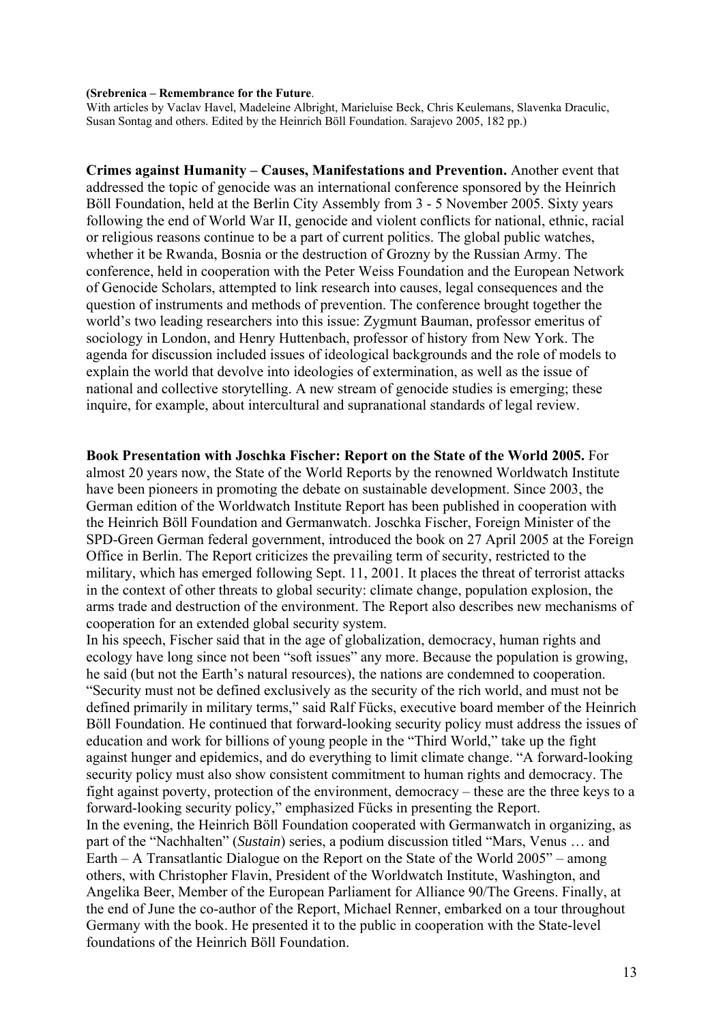#### **(Srebrenica – Remembrance for the Future**.

With articles by Vaclav Havel, Madeleine Albright, Marieluise Beck, Chris Keulemans, Slavenka Draculic, Susan Sontag and others. Edited by the Heinrich Böll Foundation. Sarajevo 2005, 182 pp.)

**Crimes against Humanity – Causes, Manifestations and Prevention.** Another event that addressed the topic of genocide was an international conference sponsored by the Heinrich Böll Foundation, held at the Berlin City Assembly from 3 - 5 November 2005. Sixty years following the end of World War II, genocide and violent conflicts for national, ethnic, racial or religious reasons continue to be a part of current politics. The global public watches, whether it be Rwanda, Bosnia or the destruction of Grozny by the Russian Army. The conference, held in cooperation with the Peter Weiss Foundation and the European Network of Genocide Scholars, attempted to link research into causes, legal consequences and the question of instruments and methods of prevention. The conference brought together the world's two leading researchers into this issue: Zygmunt Bauman, professor emeritus of sociology in London, and Henry Huttenbach, professor of history from New York. The agenda for discussion included issues of ideological backgrounds and the role of models to explain the world that devolve into ideologies of extermination, as well as the issue of national and collective storytelling. A new stream of genocide studies is emerging; these inquire, for example, about intercultural and supranational standards of legal review.

**Book Presentation with Joschka Fischer: Report on the State of the World 2005.** For almost 20 years now, the State of the World Reports by the renowned Worldwatch Institute have been pioneers in promoting the debate on sustainable development. Since 2003, the German edition of the Worldwatch Institute Report has been published in cooperation with the Heinrich Böll Foundation and Germanwatch. Joschka Fischer, Foreign Minister of the SPD-Green German federal government, introduced the book on 27 April 2005 at the Foreign Office in Berlin. The Report criticizes the prevailing term of security, restricted to the military, which has emerged following Sept. 11, 2001. It places the threat of terrorist attacks in the context of other threats to global security: climate change, population explosion, the arms trade and destruction of the environment. The Report also describes new mechanisms of cooperation for an extended global security system.

In his speech, Fischer said that in the age of globalization, democracy, human rights and ecology have long since not been "soft issues" any more. Because the population is growing, he said (but not the Earth's natural resources), the nations are condemned to cooperation. "Security must not be defined exclusively as the security of the rich world, and must not be defined primarily in military terms," said Ralf Fücks, executive board member of the Heinrich Böll Foundation. He continued that forward-looking security policy must address the issues of education and work for billions of young people in the "Third World," take up the fight against hunger and epidemics, and do everything to limit climate change. "A forward-looking security policy must also show consistent commitment to human rights and democracy. The fight against poverty, protection of the environment, democracy – these are the three keys to a forward-looking security policy," emphasized Fücks in presenting the Report. In the evening, the Heinrich Böll Foundation cooperated with Germanwatch in organizing, as part of the "Nachhalten" (*Sustain*) series, a podium discussion titled "Mars, Venus … and Earth – A Transatlantic Dialogue on the Report on the State of the World 2005" – among others, with Christopher Flavin, President of the Worldwatch Institute, Washington, and Angelika Beer, Member of the European Parliament for Alliance 90/The Greens. Finally, at the end of June the co-author of the Report, Michael Renner, embarked on a tour throughout Germany with the book. He presented it to the public in cooperation with the State-level foundations of the Heinrich Böll Foundation.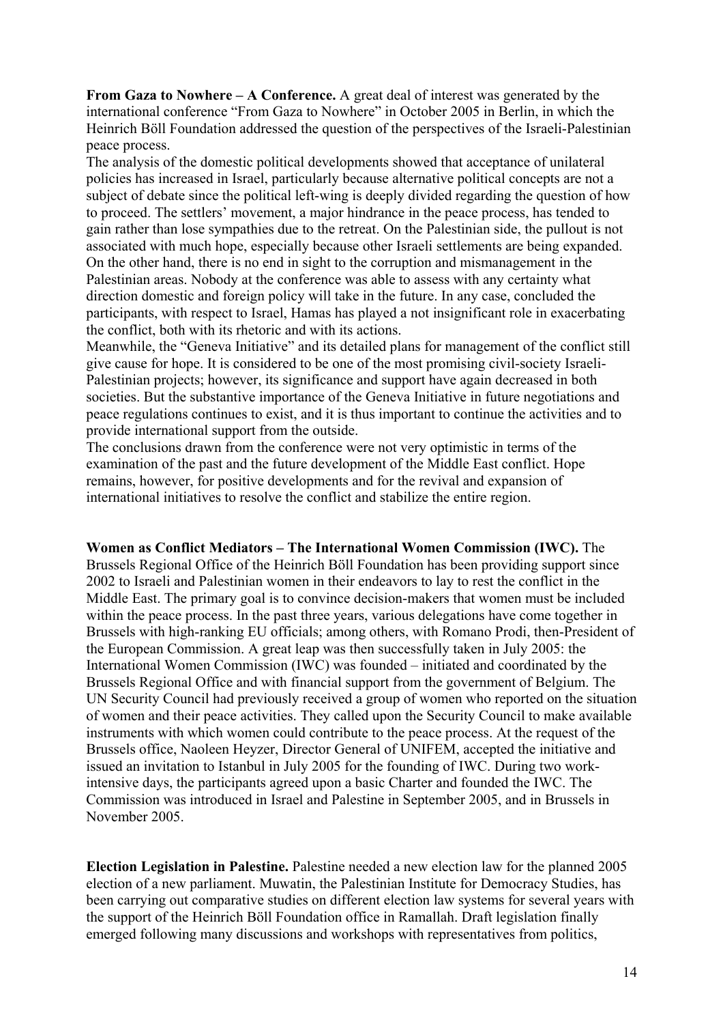**From Gaza to Nowhere – A Conference.** A great deal of interest was generated by the international conference "From Gaza to Nowhere" in October 2005 in Berlin, in which the Heinrich Böll Foundation addressed the question of the perspectives of the Israeli-Palestinian peace process.

The analysis of the domestic political developments showed that acceptance of unilateral policies has increased in Israel, particularly because alternative political concepts are not a subject of debate since the political left-wing is deeply divided regarding the question of how to proceed. The settlers' movement, a major hindrance in the peace process, has tended to gain rather than lose sympathies due to the retreat. On the Palestinian side, the pullout is not associated with much hope, especially because other Israeli settlements are being expanded. On the other hand, there is no end in sight to the corruption and mismanagement in the Palestinian areas. Nobody at the conference was able to assess with any certainty what direction domestic and foreign policy will take in the future. In any case, concluded the participants, with respect to Israel, Hamas has played a not insignificant role in exacerbating the conflict, both with its rhetoric and with its actions.

Meanwhile, the "Geneva Initiative" and its detailed plans for management of the conflict still give cause for hope. It is considered to be one of the most promising civil-society Israeli-Palestinian projects; however, its significance and support have again decreased in both societies. But the substantive importance of the Geneva Initiative in future negotiations and peace regulations continues to exist, and it is thus important to continue the activities and to provide international support from the outside.

The conclusions drawn from the conference were not very optimistic in terms of the examination of the past and the future development of the Middle East conflict. Hope remains, however, for positive developments and for the revival and expansion of international initiatives to resolve the conflict and stabilize the entire region.

**Women as Conflict Mediators – The International Women Commission (IWC).** The Brussels Regional Office of the Heinrich Böll Foundation has been providing support since 2002 to Israeli and Palestinian women in their endeavors to lay to rest the conflict in the Middle East. The primary goal is to convince decision-makers that women must be included within the peace process. In the past three years, various delegations have come together in Brussels with high-ranking EU officials; among others, with Romano Prodi, then-President of the European Commission. A great leap was then successfully taken in July 2005: the International Women Commission (IWC) was founded – initiated and coordinated by the Brussels Regional Office and with financial support from the government of Belgium. The UN Security Council had previously received a group of women who reported on the situation of women and their peace activities. They called upon the Security Council to make available instruments with which women could contribute to the peace process. At the request of the Brussels office, Naoleen Heyzer, Director General of UNIFEM, accepted the initiative and issued an invitation to Istanbul in July 2005 for the founding of IWC. During two workintensive days, the participants agreed upon a basic Charter and founded the IWC. The Commission was introduced in Israel and Palestine in September 2005, and in Brussels in November 2005.

**Election Legislation in Palestine.** Palestine needed a new election law for the planned 2005 election of a new parliament. Muwatin, the Palestinian Institute for Democracy Studies, has been carrying out comparative studies on different election law systems for several years with the support of the Heinrich Böll Foundation office in Ramallah. Draft legislation finally emerged following many discussions and workshops with representatives from politics,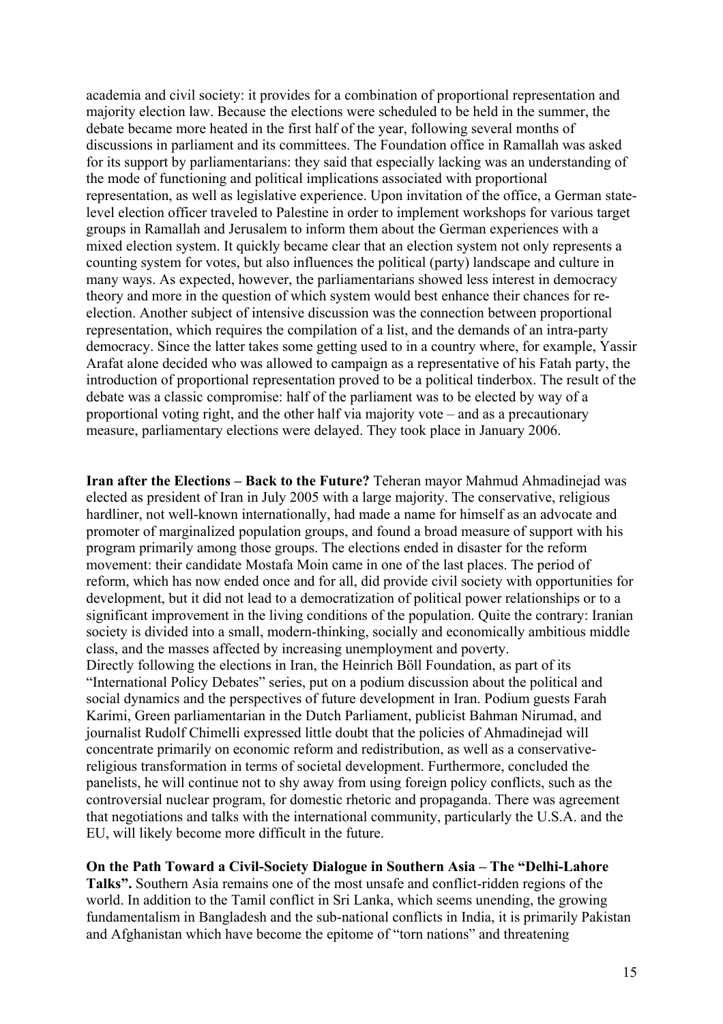academia and civil society: it provides for a combination of proportional representation and majority election law. Because the elections were scheduled to be held in the summer, the debate became more heated in the first half of the year, following several months of discussions in parliament and its committees. The Foundation office in Ramallah was asked for its support by parliamentarians: they said that especially lacking was an understanding of the mode of functioning and political implications associated with proportional representation, as well as legislative experience. Upon invitation of the office, a German statelevel election officer traveled to Palestine in order to implement workshops for various target groups in Ramallah and Jerusalem to inform them about the German experiences with a mixed election system. It quickly became clear that an election system not only represents a counting system for votes, but also influences the political (party) landscape and culture in many ways. As expected, however, the parliamentarians showed less interest in democracy theory and more in the question of which system would best enhance their chances for reelection. Another subject of intensive discussion was the connection between proportional representation, which requires the compilation of a list, and the demands of an intra-party democracy. Since the latter takes some getting used to in a country where, for example, Yassir Arafat alone decided who was allowed to campaign as a representative of his Fatah party, the introduction of proportional representation proved to be a political tinderbox. The result of the debate was a classic compromise: half of the parliament was to be elected by way of a proportional voting right, and the other half via majority vote – and as a precautionary measure, parliamentary elections were delayed. They took place in January 2006.

**Iran after the Elections – Back to the Future?** Teheran mayor Mahmud Ahmadinejad was elected as president of Iran in July 2005 with a large majority. The conservative, religious hardliner, not well-known internationally, had made a name for himself as an advocate and promoter of marginalized population groups, and found a broad measure of support with his program primarily among those groups. The elections ended in disaster for the reform movement: their candidate Mostafa Moin came in one of the last places. The period of reform, which has now ended once and for all, did provide civil society with opportunities for development, but it did not lead to a democratization of political power relationships or to a significant improvement in the living conditions of the population. Quite the contrary: Iranian society is divided into a small, modern-thinking, socially and economically ambitious middle class, and the masses affected by increasing unemployment and poverty. Directly following the elections in Iran, the Heinrich Böll Foundation, as part of its "International Policy Debates" series, put on a podium discussion about the political and social dynamics and the perspectives of future development in Iran. Podium guests Farah Karimi, Green parliamentarian in the Dutch Parliament, publicist Bahman Nirumad, and journalist Rudolf Chimelli expressed little doubt that the policies of Ahmadinejad will concentrate primarily on economic reform and redistribution, as well as a conservativereligious transformation in terms of societal development. Furthermore, concluded the panelists, he will continue not to shy away from using foreign policy conflicts, such as the controversial nuclear program, for domestic rhetoric and propaganda. There was agreement that negotiations and talks with the international community, particularly the U.S.A. and the

# **On the Path Toward a Civil-Society Dialogue in Southern Asia – The "Delhi-Lahore**

EU, will likely become more difficult in the future.

**Talks".** Southern Asia remains one of the most unsafe and conflict-ridden regions of the world. In addition to the Tamil conflict in Sri Lanka, which seems unending, the growing fundamentalism in Bangladesh and the sub-national conflicts in India, it is primarily Pakistan and Afghanistan which have become the epitome of "torn nations" and threatening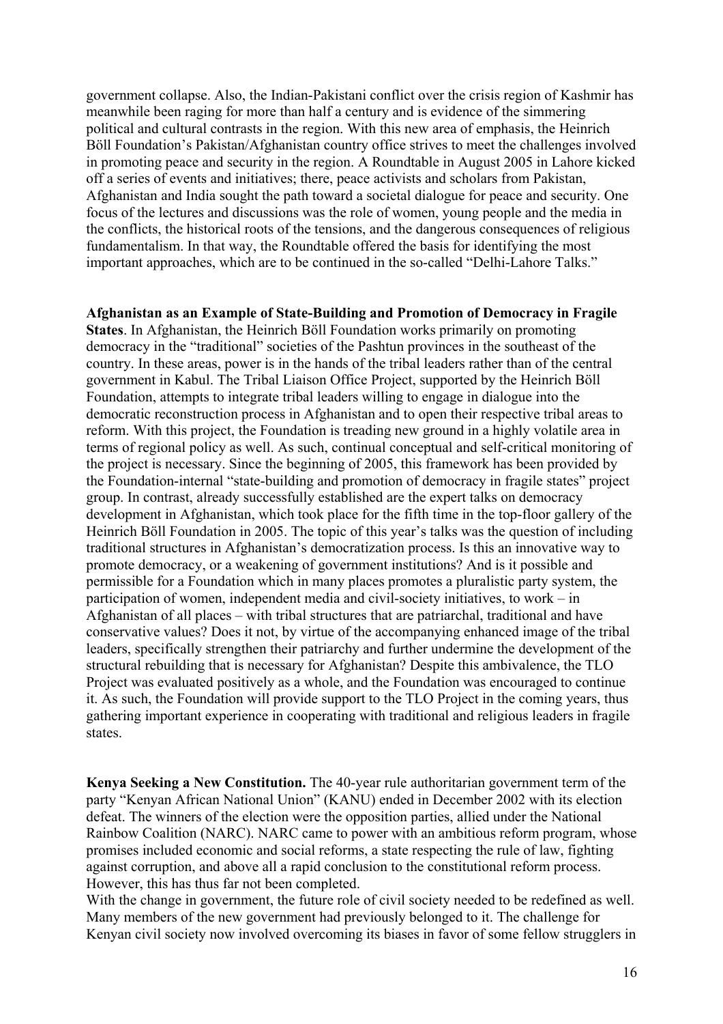government collapse. Also, the Indian-Pakistani conflict over the crisis region of Kashmir has meanwhile been raging for more than half a century and is evidence of the simmering political and cultural contrasts in the region. With this new area of emphasis, the Heinrich Böll Foundation's Pakistan/Afghanistan country office strives to meet the challenges involved in promoting peace and security in the region. A Roundtable in August 2005 in Lahore kicked off a series of events and initiatives; there, peace activists and scholars from Pakistan, Afghanistan and India sought the path toward a societal dialogue for peace and security. One focus of the lectures and discussions was the role of women, young people and the media in the conflicts, the historical roots of the tensions, and the dangerous consequences of religious fundamentalism. In that way, the Roundtable offered the basis for identifying the most important approaches, which are to be continued in the so-called "Delhi-Lahore Talks."

#### **Afghanistan as an Example of State-Building and Promotion of Democracy in Fragile**

**States**. In Afghanistan, the Heinrich Böll Foundation works primarily on promoting democracy in the "traditional" societies of the Pashtun provinces in the southeast of the country. In these areas, power is in the hands of the tribal leaders rather than of the central government in Kabul. The Tribal Liaison Office Project, supported by the Heinrich Böll Foundation, attempts to integrate tribal leaders willing to engage in dialogue into the democratic reconstruction process in Afghanistan and to open their respective tribal areas to reform. With this project, the Foundation is treading new ground in a highly volatile area in terms of regional policy as well. As such, continual conceptual and self-critical monitoring of the project is necessary. Since the beginning of 2005, this framework has been provided by the Foundation-internal "state-building and promotion of democracy in fragile states" project group. In contrast, already successfully established are the expert talks on democracy development in Afghanistan, which took place for the fifth time in the top-floor gallery of the Heinrich Böll Foundation in 2005. The topic of this year's talks was the question of including traditional structures in Afghanistan's democratization process. Is this an innovative way to promote democracy, or a weakening of government institutions? And is it possible and permissible for a Foundation which in many places promotes a pluralistic party system, the participation of women, independent media and civil-society initiatives, to work – in Afghanistan of all places – with tribal structures that are patriarchal, traditional and have conservative values? Does it not, by virtue of the accompanying enhanced image of the tribal leaders, specifically strengthen their patriarchy and further undermine the development of the structural rebuilding that is necessary for Afghanistan? Despite this ambivalence, the TLO Project was evaluated positively as a whole, and the Foundation was encouraged to continue it. As such, the Foundation will provide support to the TLO Project in the coming years, thus gathering important experience in cooperating with traditional and religious leaders in fragile states.

**Kenya Seeking a New Constitution.** The 40-year rule authoritarian government term of the party "Kenyan African National Union" (KANU) ended in December 2002 with its election defeat. The winners of the election were the opposition parties, allied under the National Rainbow Coalition (NARC). NARC came to power with an ambitious reform program, whose promises included economic and social reforms, a state respecting the rule of law, fighting against corruption, and above all a rapid conclusion to the constitutional reform process. However, this has thus far not been completed.

With the change in government, the future role of civil society needed to be redefined as well. Many members of the new government had previously belonged to it. The challenge for Kenyan civil society now involved overcoming its biases in favor of some fellow strugglers in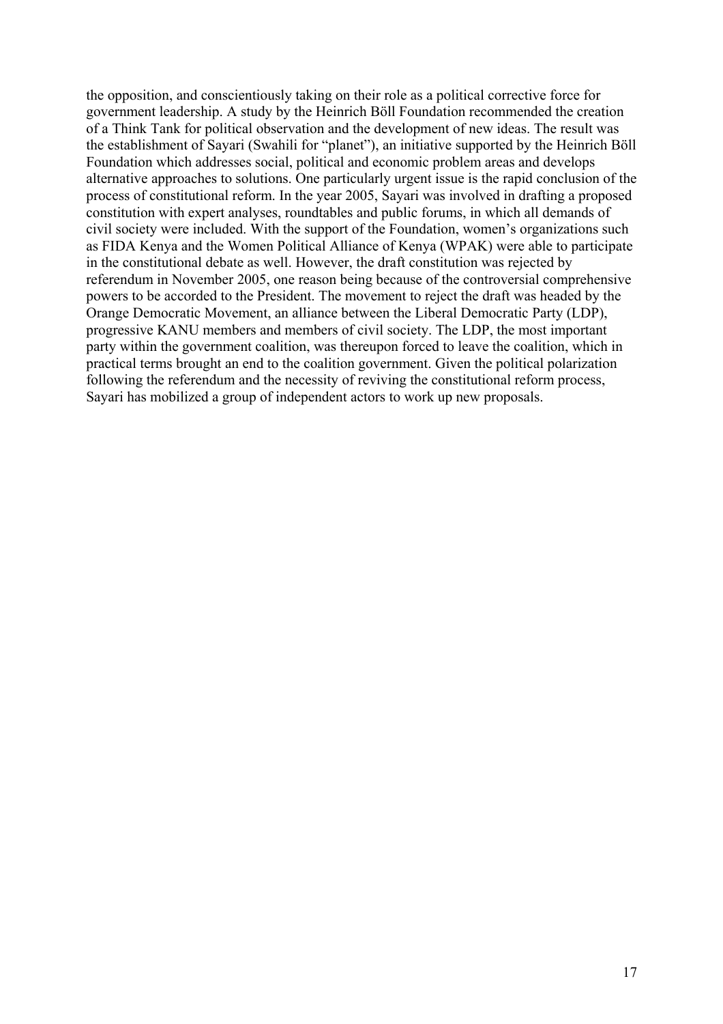the opposition, and conscientiously taking on their role as a political corrective force for government leadership. A study by the Heinrich Böll Foundation recommended the creation of a Think Tank for political observation and the development of new ideas. The result was the establishment of Sayari (Swahili for "planet"), an initiative supported by the Heinrich Böll Foundation which addresses social, political and economic problem areas and develops alternative approaches to solutions. One particularly urgent issue is the rapid conclusion of the process of constitutional reform. In the year 2005, Sayari was involved in drafting a proposed constitution with expert analyses, roundtables and public forums, in which all demands of civil society were included. With the support of the Foundation, women's organizations such as FIDA Kenya and the Women Political Alliance of Kenya (WPAK) were able to participate in the constitutional debate as well. However, the draft constitution was rejected by referendum in November 2005, one reason being because of the controversial comprehensive powers to be accorded to the President. The movement to reject the draft was headed by the Orange Democratic Movement, an alliance between the Liberal Democratic Party (LDP), progressive KANU members and members of civil society. The LDP, the most important party within the government coalition, was thereupon forced to leave the coalition, which in practical terms brought an end to the coalition government. Given the political polarization following the referendum and the necessity of reviving the constitutional reform process, Sayari has mobilized a group of independent actors to work up new proposals.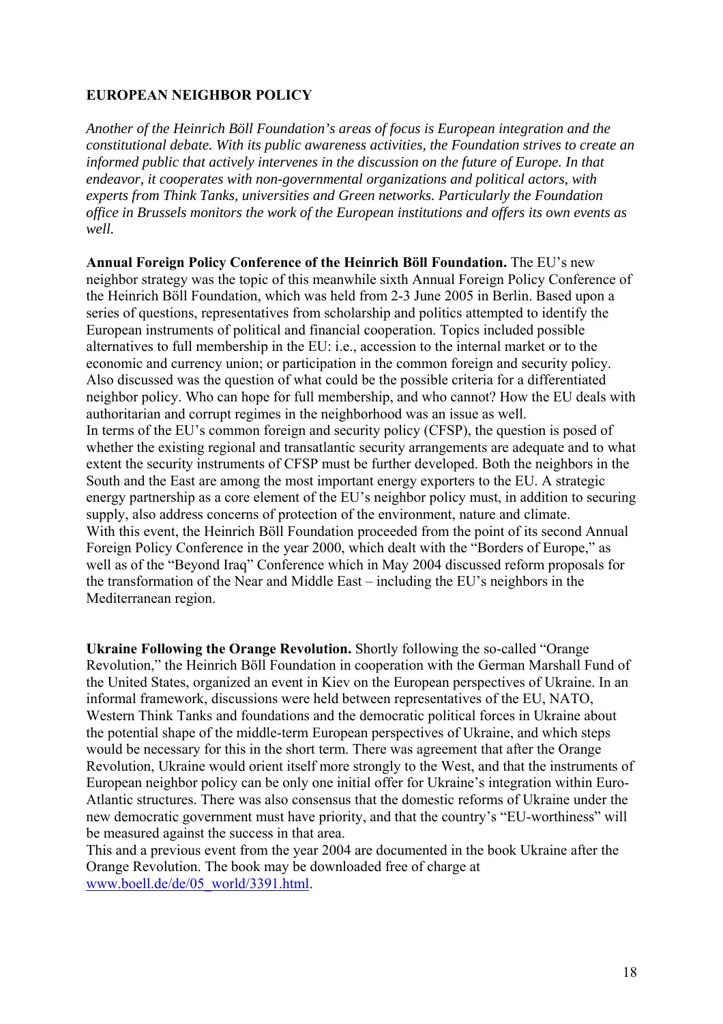# **EUROPEAN NEIGHBOR POLICY**

*Another of the Heinrich Böll Foundation's areas of focus is European integration and the constitutional debate. With its public awareness activities, the Foundation strives to create an informed public that actively intervenes in the discussion on the future of Europe. In that endeavor, it cooperates with non-governmental organizations and political actors, with experts from Think Tanks, universities and Green networks. Particularly the Foundation office in Brussels monitors the work of the European institutions and offers its own events as well.* 

**Annual Foreign Policy Conference of the Heinrich Böll Foundation.** The EU's new neighbor strategy was the topic of this meanwhile sixth Annual Foreign Policy Conference of the Heinrich Böll Foundation, which was held from 2-3 June 2005 in Berlin. Based upon a series of questions, representatives from scholarship and politics attempted to identify the European instruments of political and financial cooperation. Topics included possible alternatives to full membership in the EU: i.e., accession to the internal market or to the economic and currency union; or participation in the common foreign and security policy. Also discussed was the question of what could be the possible criteria for a differentiated neighbor policy. Who can hope for full membership, and who cannot? How the EU deals with authoritarian and corrupt regimes in the neighborhood was an issue as well. In terms of the EU's common foreign and security policy (CFSP), the question is posed of whether the existing regional and transatlantic security arrangements are adequate and to what extent the security instruments of CFSP must be further developed. Both the neighbors in the South and the East are among the most important energy exporters to the EU. A strategic energy partnership as a core element of the EU's neighbor policy must, in addition to securing supply, also address concerns of protection of the environment, nature and climate. With this event, the Heinrich Böll Foundation proceeded from the point of its second Annual Foreign Policy Conference in the year 2000, which dealt with the "Borders of Europe," as well as of the "Beyond Iraq" Conference which in May 2004 discussed reform proposals for the transformation of the Near and Middle East – including the EU's neighbors in the Mediterranean region.

**Ukraine Following the Orange Revolution.** Shortly following the so-called "Orange Revolution," the Heinrich Böll Foundation in cooperation with the German Marshall Fund of the United States, organized an event in Kiev on the European perspectives of Ukraine. In an informal framework, discussions were held between representatives of the EU, NATO, Western Think Tanks and foundations and the democratic political forces in Ukraine about the potential shape of the middle-term European perspectives of Ukraine, and which steps would be necessary for this in the short term. There was agreement that after the Orange Revolution, Ukraine would orient itself more strongly to the West, and that the instruments of European neighbor policy can be only one initial offer for Ukraine's integration within Euro-Atlantic structures. There was also consensus that the domestic reforms of Ukraine under the new democratic government must have priority, and that the country's "EU-worthiness" will be measured against the success in that area.

This and a previous event from the year 2004 are documented in the book Ukraine after the Orange Revolution. The book may be downloaded free of charge at www.boell.de/de/05\_world/3391.html.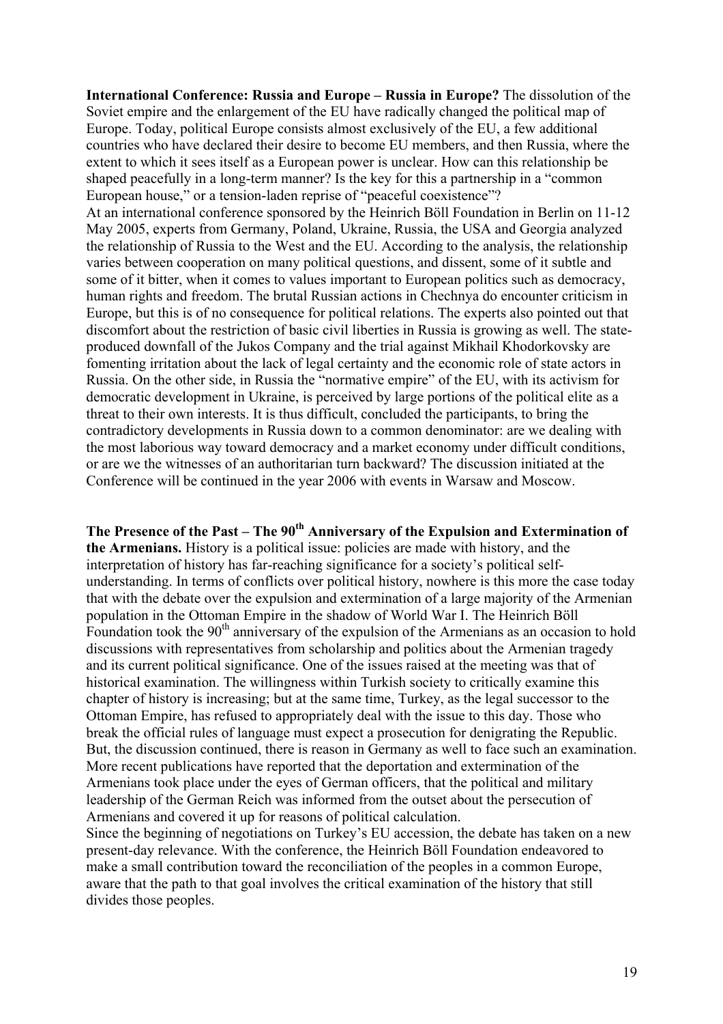**International Conference: Russia and Europe – Russia in Europe?** The dissolution of the Soviet empire and the enlargement of the EU have radically changed the political map of Europe. Today, political Europe consists almost exclusively of the EU, a few additional countries who have declared their desire to become EU members, and then Russia, where the extent to which it sees itself as a European power is unclear. How can this relationship be shaped peacefully in a long-term manner? Is the key for this a partnership in a "common European house," or a tension-laden reprise of "peaceful coexistence"?

At an international conference sponsored by the Heinrich Böll Foundation in Berlin on 11-12 May 2005, experts from Germany, Poland, Ukraine, Russia, the USA and Georgia analyzed the relationship of Russia to the West and the EU. According to the analysis, the relationship varies between cooperation on many political questions, and dissent, some of it subtle and some of it bitter, when it comes to values important to European politics such as democracy, human rights and freedom. The brutal Russian actions in Chechnya do encounter criticism in Europe, but this is of no consequence for political relations. The experts also pointed out that discomfort about the restriction of basic civil liberties in Russia is growing as well. The stateproduced downfall of the Jukos Company and the trial against Mikhail Khodorkovsky are fomenting irritation about the lack of legal certainty and the economic role of state actors in Russia. On the other side, in Russia the "normative empire" of the EU, with its activism for democratic development in Ukraine, is perceived by large portions of the political elite as a threat to their own interests. It is thus difficult, concluded the participants, to bring the contradictory developments in Russia down to a common denominator: are we dealing with the most laborious way toward democracy and a market economy under difficult conditions, or are we the witnesses of an authoritarian turn backward? The discussion initiated at the Conference will be continued in the year 2006 with events in Warsaw and Moscow.

The Presence of the Past – The 90<sup>th</sup> Anniversary of the Expulsion and Extermination of **the Armenians.** History is a political issue: policies are made with history, and the interpretation of history has far-reaching significance for a society's political selfunderstanding. In terms of conflicts over political history, nowhere is this more the case today that with the debate over the expulsion and extermination of a large majority of the Armenian population in the Ottoman Empire in the shadow of World War I. The Heinrich Böll Foundation took the 90<sup>th</sup> anniversary of the expulsion of the Armenians as an occasion to hold discussions with representatives from scholarship and politics about the Armenian tragedy and its current political significance. One of the issues raised at the meeting was that of historical examination. The willingness within Turkish society to critically examine this chapter of history is increasing; but at the same time, Turkey, as the legal successor to the Ottoman Empire, has refused to appropriately deal with the issue to this day. Those who break the official rules of language must expect a prosecution for denigrating the Republic. But, the discussion continued, there is reason in Germany as well to face such an examination. More recent publications have reported that the deportation and extermination of the Armenians took place under the eyes of German officers, that the political and military leadership of the German Reich was informed from the outset about the persecution of Armenians and covered it up for reasons of political calculation.

Since the beginning of negotiations on Turkey's EU accession, the debate has taken on a new present-day relevance. With the conference, the Heinrich Böll Foundation endeavored to make a small contribution toward the reconciliation of the peoples in a common Europe, aware that the path to that goal involves the critical examination of the history that still divides those peoples.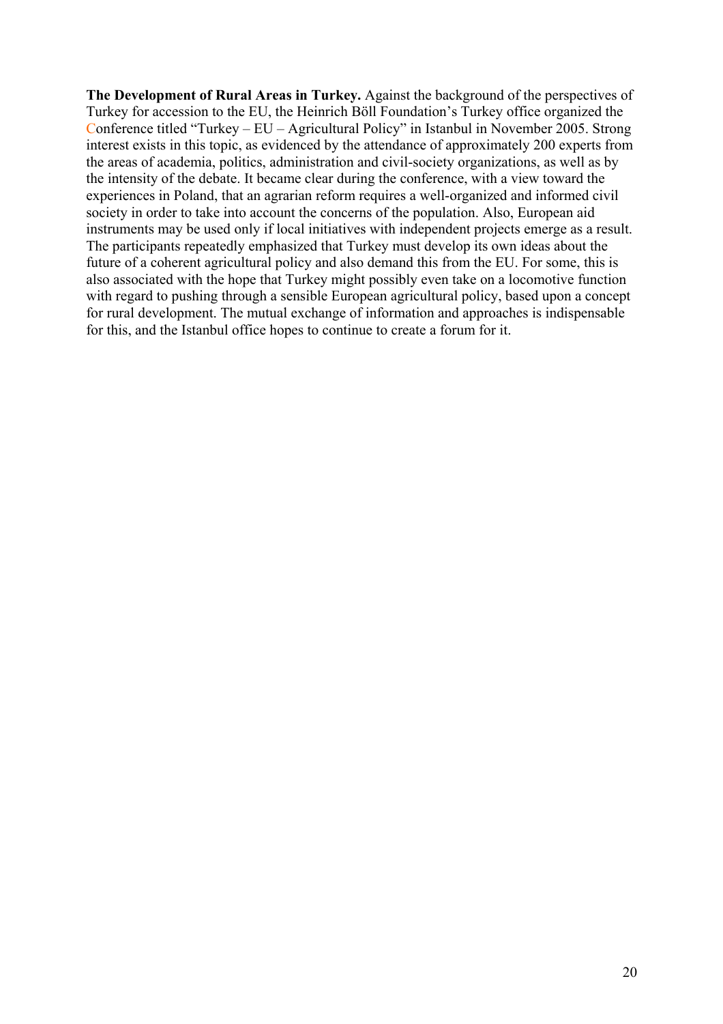**The Development of Rural Areas in Turkey.** Against the background of the perspectives of Turkey for accession to the EU, the Heinrich Böll Foundation's Turkey office organized the Conference titled "Turkey – EU – Agricultural Policy" in Istanbul in November 2005. Strong interest exists in this topic, as evidenced by the attendance of approximately 200 experts from the areas of academia, politics, administration and civil-society organizations, as well as by the intensity of the debate. It became clear during the conference, with a view toward the experiences in Poland, that an agrarian reform requires a well-organized and informed civil society in order to take into account the concerns of the population. Also, European aid instruments may be used only if local initiatives with independent projects emerge as a result. The participants repeatedly emphasized that Turkey must develop its own ideas about the future of a coherent agricultural policy and also demand this from the EU. For some, this is also associated with the hope that Turkey might possibly even take on a locomotive function with regard to pushing through a sensible European agricultural policy, based upon a concept for rural development. The mutual exchange of information and approaches is indispensable for this, and the Istanbul office hopes to continue to create a forum for it.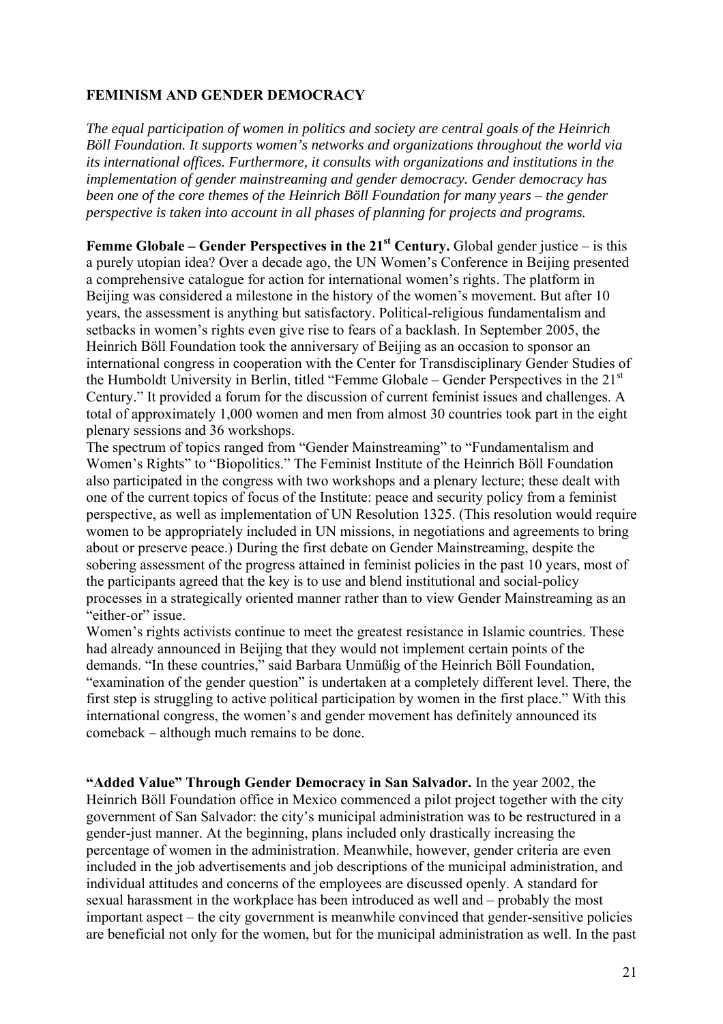# **FEMINISM AND GENDER DEMOCRACY**

*The equal participation of women in politics and society are central goals of the Heinrich Böll Foundation. It supports women's networks and organizations throughout the world via its international offices. Furthermore, it consults with organizations and institutions in the implementation of gender mainstreaming and gender democracy. Gender democracy has been one of the core themes of the Heinrich Böll Foundation for many years – the gender perspective is taken into account in all phases of planning for projects and programs.* 

**Femme Globale – Gender Perspectives in the**  $21<sup>st</sup>$  **Century. Global gender justice – is this** a purely utopian idea? Over a decade ago, the UN Women's Conference in Beijing presented a comprehensive catalogue for action for international women's rights. The platform in Beijing was considered a milestone in the history of the women's movement. But after 10 years, the assessment is anything but satisfactory. Political-religious fundamentalism and setbacks in women's rights even give rise to fears of a backlash. In September 2005, the Heinrich Böll Foundation took the anniversary of Beijing as an occasion to sponsor an international congress in cooperation with the Center for Transdisciplinary Gender Studies of the Humboldt University in Berlin, titled "Femme Globale – Gender Perspectives in the 21st Century." It provided a forum for the discussion of current feminist issues and challenges. A total of approximately 1,000 women and men from almost 30 countries took part in the eight plenary sessions and 36 workshops.

The spectrum of topics ranged from "Gender Mainstreaming" to "Fundamentalism and Women's Rights" to "Biopolitics." The Feminist Institute of the Heinrich Böll Foundation also participated in the congress with two workshops and a plenary lecture; these dealt with one of the current topics of focus of the Institute: peace and security policy from a feminist perspective, as well as implementation of UN Resolution 1325. (This resolution would require women to be appropriately included in UN missions, in negotiations and agreements to bring about or preserve peace.) During the first debate on Gender Mainstreaming, despite the sobering assessment of the progress attained in feminist policies in the past 10 years, most of the participants agreed that the key is to use and blend institutional and social-policy processes in a strategically oriented manner rather than to view Gender Mainstreaming as an "either-or" issue.

Women's rights activists continue to meet the greatest resistance in Islamic countries. These had already announced in Beijing that they would not implement certain points of the demands. "In these countries," said Barbara Unmüßig of the Heinrich Böll Foundation, "examination of the gender question" is undertaken at a completely different level. There, the first step is struggling to active political participation by women in the first place." With this international congress, the women's and gender movement has definitely announced its comeback – although much remains to be done.

**"Added Value" Through Gender Democracy in San Salvador.** In the year 2002, the Heinrich Böll Foundation office in Mexico commenced a pilot project together with the city government of San Salvador: the city's municipal administration was to be restructured in a gender-just manner. At the beginning, plans included only drastically increasing the percentage of women in the administration. Meanwhile, however, gender criteria are even included in the job advertisements and job descriptions of the municipal administration, and individual attitudes and concerns of the employees are discussed openly. A standard for sexual harassment in the workplace has been introduced as well and – probably the most important aspect – the city government is meanwhile convinced that gender-sensitive policies are beneficial not only for the women, but for the municipal administration as well. In the past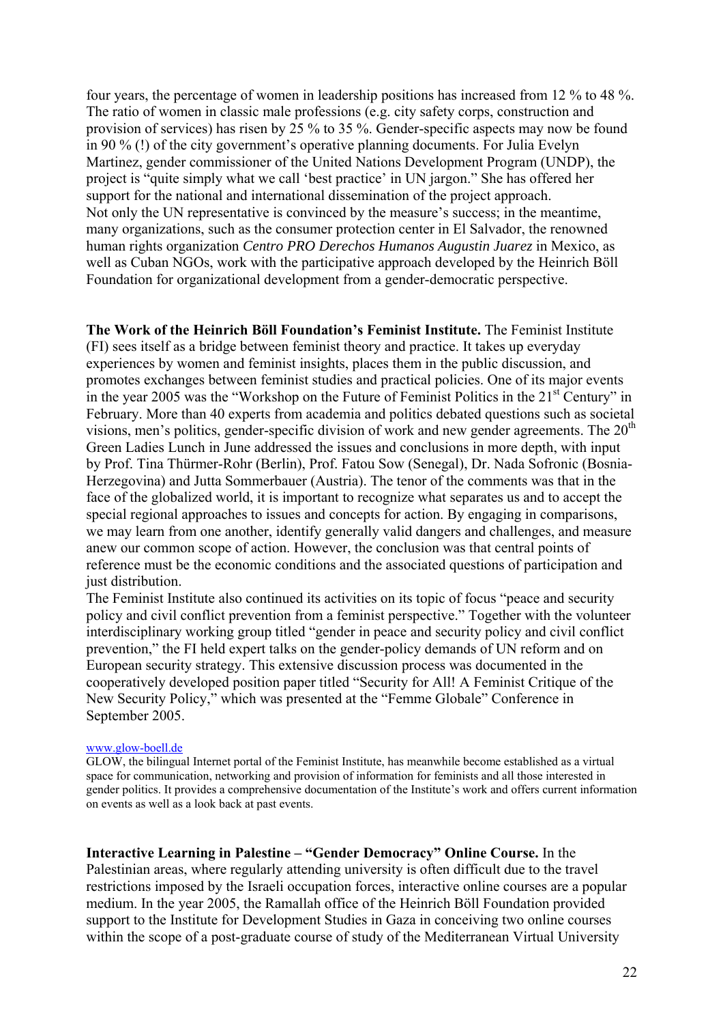four years, the percentage of women in leadership positions has increased from 12 % to 48 %. The ratio of women in classic male professions (e.g. city safety corps, construction and provision of services) has risen by 25 % to 35 %. Gender-specific aspects may now be found in 90 % (!) of the city government's operative planning documents. For Julia Evelyn Martinez, gender commissioner of the United Nations Development Program (UNDP), the project is "quite simply what we call 'best practice' in UN jargon." She has offered her support for the national and international dissemination of the project approach. Not only the UN representative is convinced by the measure's success; in the meantime, many organizations, such as the consumer protection center in El Salvador, the renowned human rights organization *Centro PRO Derechos Humanos Augustin Juarez* in Mexico, as well as Cuban NGOs, work with the participative approach developed by the Heinrich Böll Foundation for organizational development from a gender-democratic perspective.

**The Work of the Heinrich Böll Foundation's Feminist Institute.** The Feminist Institute (FI) sees itself as a bridge between feminist theory and practice. It takes up everyday experiences by women and feminist insights, places them in the public discussion, and promotes exchanges between feminist studies and practical policies. One of its major events in the year 2005 was the "Workshop on the Future of Feminist Politics in the  $21<sup>st</sup>$  Century" in February. More than 40 experts from academia and politics debated questions such as societal visions, men's politics, gender-specific division of work and new gender agreements. The  $20<sup>th</sup>$ Green Ladies Lunch in June addressed the issues and conclusions in more depth, with input by Prof. Tina Thürmer-Rohr (Berlin), Prof. Fatou Sow (Senegal), Dr. Nada Sofronic (Bosnia-Herzegovina) and Jutta Sommerbauer (Austria). The tenor of the comments was that in the face of the globalized world, it is important to recognize what separates us and to accept the special regional approaches to issues and concepts for action. By engaging in comparisons, we may learn from one another, identify generally valid dangers and challenges, and measure anew our common scope of action. However, the conclusion was that central points of reference must be the economic conditions and the associated questions of participation and just distribution.

The Feminist Institute also continued its activities on its topic of focus "peace and security policy and civil conflict prevention from a feminist perspective." Together with the volunteer interdisciplinary working group titled "gender in peace and security policy and civil conflict prevention," the FI held expert talks on the gender-policy demands of UN reform and on European security strategy. This extensive discussion process was documented in the cooperatively developed position paper titled "Security for All! A Feminist Critique of the New Security Policy," which was presented at the "Femme Globale" Conference in September 2005.

#### www.glow-boell.de

GLOW, the bilingual Internet portal of the Feminist Institute, has meanwhile become established as a virtual space for communication, networking and provision of information for feminists and all those interested in gender politics. It provides a comprehensive documentation of the Institute's work and offers current information on events as well as a look back at past events.

**Interactive Learning in Palestine – "Gender Democracy" Online Course.** In the Palestinian areas, where regularly attending university is often difficult due to the travel restrictions imposed by the Israeli occupation forces, interactive online courses are a popular medium. In the year 2005, the Ramallah office of the Heinrich Böll Foundation provided support to the Institute for Development Studies in Gaza in conceiving two online courses within the scope of a post-graduate course of study of the Mediterranean Virtual University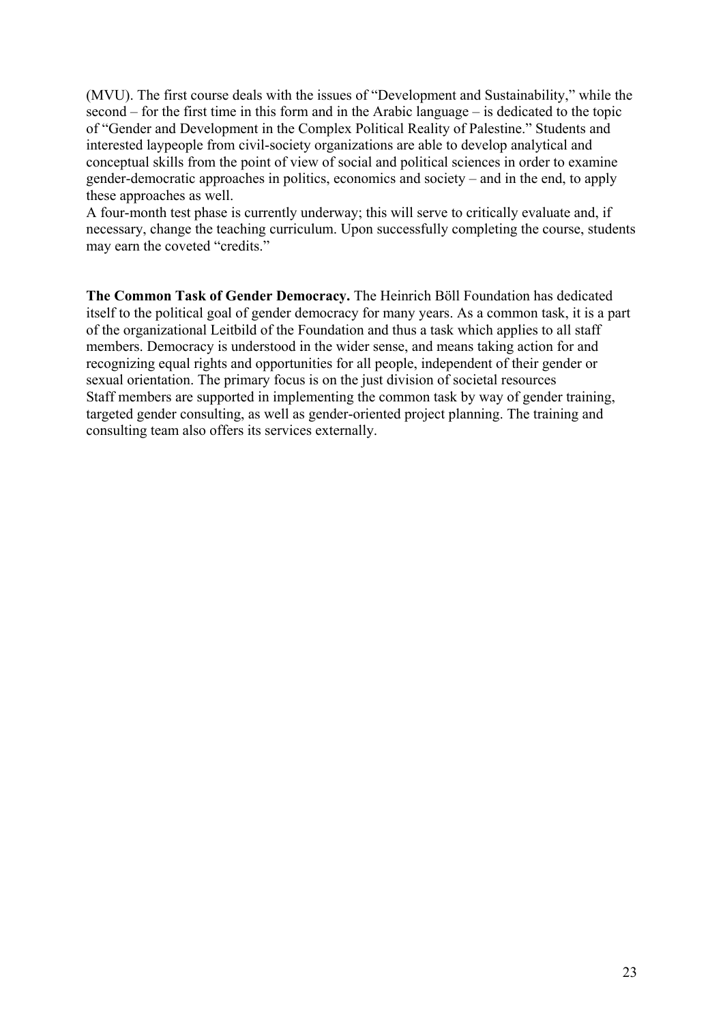(MVU). The first course deals with the issues of "Development and Sustainability," while the second – for the first time in this form and in the Arabic language – is dedicated to the topic of "Gender and Development in the Complex Political Reality of Palestine." Students and interested laypeople from civil-society organizations are able to develop analytical and conceptual skills from the point of view of social and political sciences in order to examine gender-democratic approaches in politics, economics and society – and in the end, to apply these approaches as well.

A four-month test phase is currently underway; this will serve to critically evaluate and, if necessary, change the teaching curriculum. Upon successfully completing the course, students may earn the coveted "credits."

**The Common Task of Gender Democracy.** The Heinrich Böll Foundation has dedicated itself to the political goal of gender democracy for many years. As a common task, it is a part of the organizational Leitbild of the Foundation and thus a task which applies to all staff members. Democracy is understood in the wider sense, and means taking action for and recognizing equal rights and opportunities for all people, independent of their gender or sexual orientation. The primary focus is on the just division of societal resources Staff members are supported in implementing the common task by way of gender training, targeted gender consulting, as well as gender-oriented project planning. The training and consulting team also offers its services externally.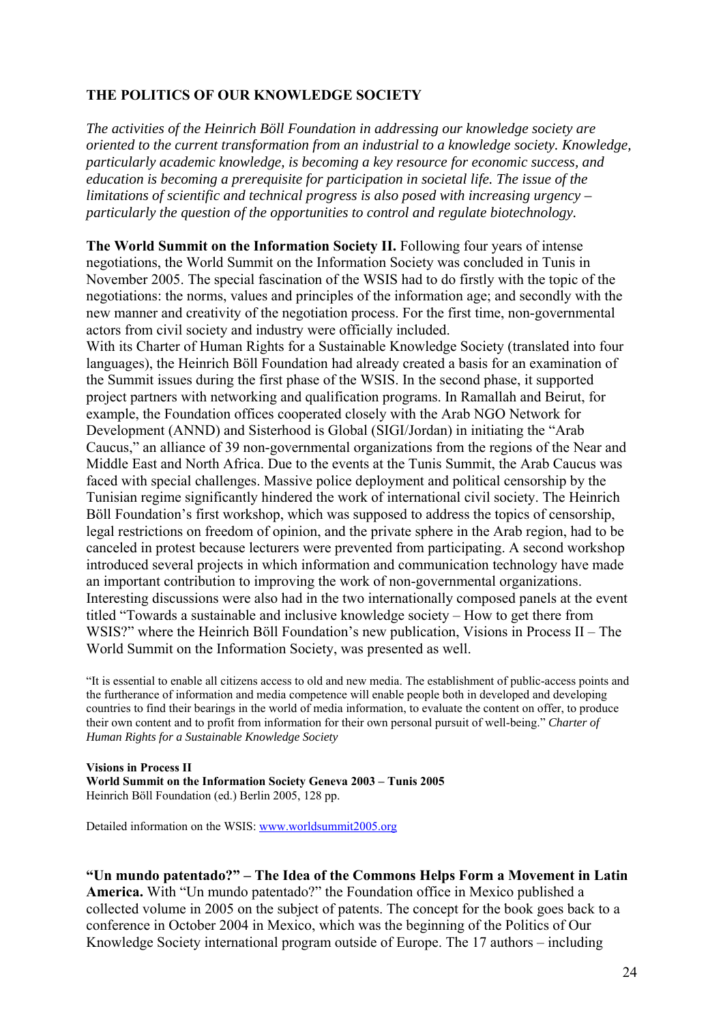# **THE POLITICS OF OUR KNOWLEDGE SOCIETY**

*The activities of the Heinrich Böll Foundation in addressing our knowledge society are oriented to the current transformation from an industrial to a knowledge society. Knowledge, particularly academic knowledge, is becoming a key resource for economic success, and education is becoming a prerequisite for participation in societal life. The issue of the limitations of scientific and technical progress is also posed with increasing urgency – particularly the question of the opportunities to control and regulate biotechnology.* 

**The World Summit on the Information Society II.** Following four years of intense negotiations, the World Summit on the Information Society was concluded in Tunis in November 2005. The special fascination of the WSIS had to do firstly with the topic of the negotiations: the norms, values and principles of the information age; and secondly with the new manner and creativity of the negotiation process. For the first time, non-governmental actors from civil society and industry were officially included.

With its Charter of Human Rights for a Sustainable Knowledge Society (translated into four languages), the Heinrich Böll Foundation had already created a basis for an examination of the Summit issues during the first phase of the WSIS. In the second phase, it supported project partners with networking and qualification programs. In Ramallah and Beirut, for example, the Foundation offices cooperated closely with the Arab NGO Network for Development (ANND) and Sisterhood is Global (SIGI/Jordan) in initiating the "Arab Caucus," an alliance of 39 non-governmental organizations from the regions of the Near and Middle East and North Africa. Due to the events at the Tunis Summit, the Arab Caucus was faced with special challenges. Massive police deployment and political censorship by the Tunisian regime significantly hindered the work of international civil society. The Heinrich Böll Foundation's first workshop, which was supposed to address the topics of censorship, legal restrictions on freedom of opinion, and the private sphere in the Arab region, had to be canceled in protest because lecturers were prevented from participating. A second workshop introduced several projects in which information and communication technology have made an important contribution to improving the work of non-governmental organizations. Interesting discussions were also had in the two internationally composed panels at the event titled "Towards a sustainable and inclusive knowledge society – How to get there from WSIS?" where the Heinrich Böll Foundation's new publication, Visions in Process II – The World Summit on the Information Society, was presented as well.

"It is essential to enable all citizens access to old and new media. The establishment of public-access points and the furtherance of information and media competence will enable people both in developed and developing countries to find their bearings in the world of media information, to evaluate the content on offer, to produce their own content and to profit from information for their own personal pursuit of well-being." *Charter of Human Rights for a Sustainable Knowledge Society* 

**Visions in Process II World Summit on the Information Society Geneva 2003 – Tunis 2005** Heinrich Böll Foundation (ed.) Berlin 2005, 128 pp.

Detailed information on the WSIS: www.worldsummit2005.org

**"Un mundo patentado?" – The Idea of the Commons Helps Form a Movement in Latin America.** With "Un mundo patentado?" the Foundation office in Mexico published a collected volume in 2005 on the subject of patents. The concept for the book goes back to a conference in October 2004 in Mexico, which was the beginning of the Politics of Our Knowledge Society international program outside of Europe. The 17 authors – including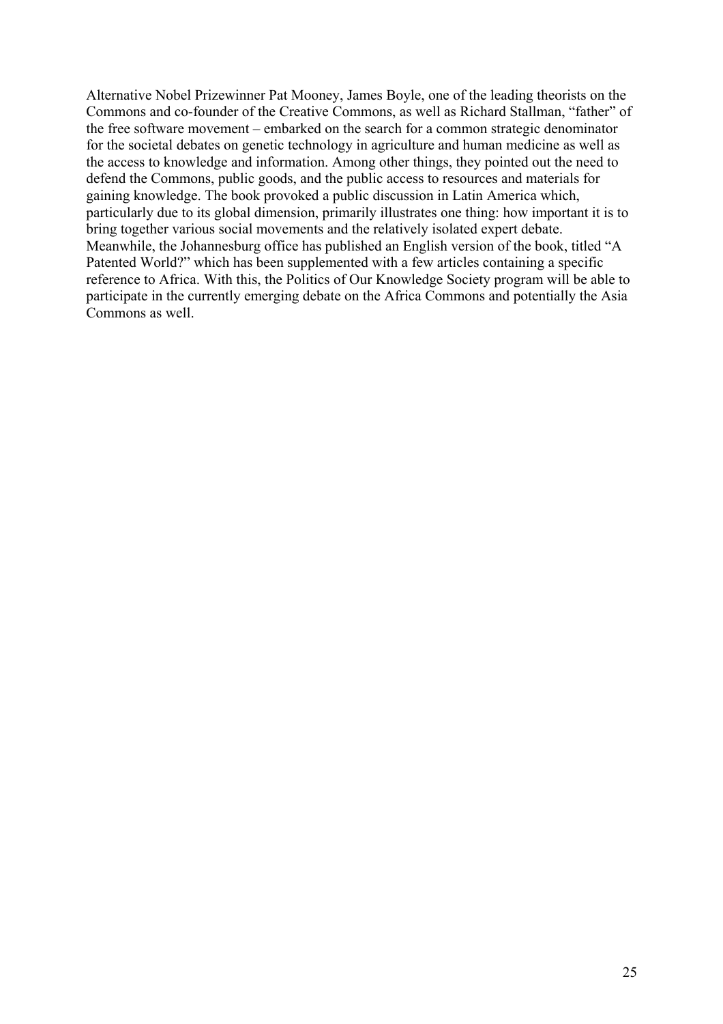Alternative Nobel Prizewinner Pat Mooney, James Boyle, one of the leading theorists on the Commons and co-founder of the Creative Commons, as well as Richard Stallman, "father" of the free software movement – embarked on the search for a common strategic denominator for the societal debates on genetic technology in agriculture and human medicine as well as the access to knowledge and information. Among other things, they pointed out the need to defend the Commons, public goods, and the public access to resources and materials for gaining knowledge. The book provoked a public discussion in Latin America which, particularly due to its global dimension, primarily illustrates one thing: how important it is to bring together various social movements and the relatively isolated expert debate. Meanwhile, the Johannesburg office has published an English version of the book, titled "A Patented World?" which has been supplemented with a few articles containing a specific reference to Africa. With this, the Politics of Our Knowledge Society program will be able to participate in the currently emerging debate on the Africa Commons and potentially the Asia Commons as well.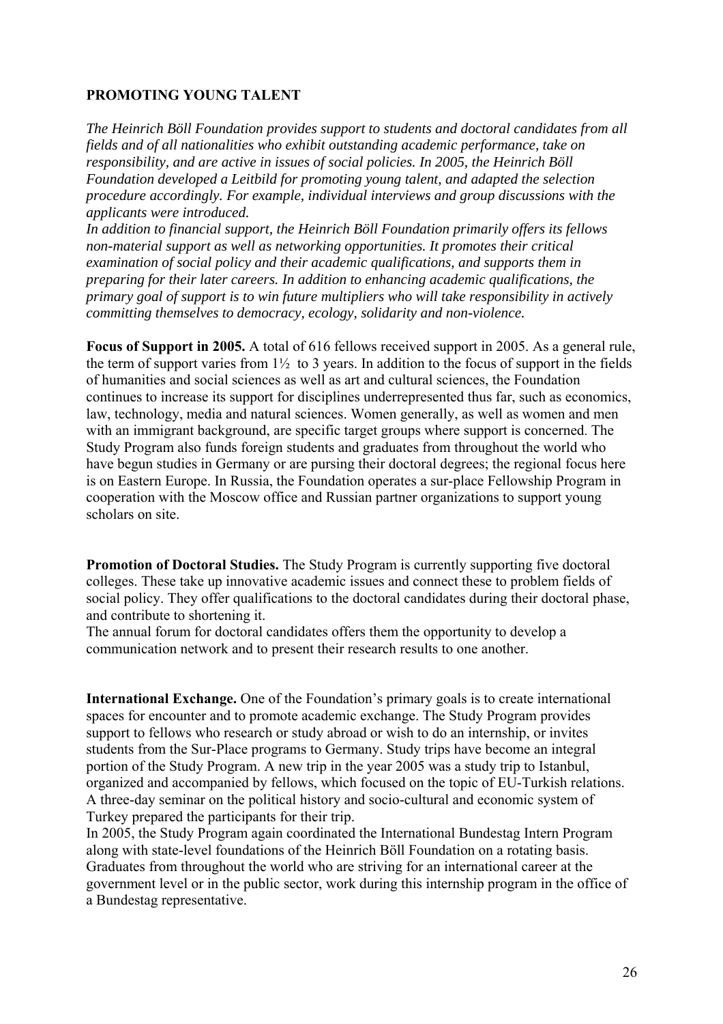# **PROMOTING YOUNG TALENT**

*The Heinrich Böll Foundation provides support to students and doctoral candidates from all fields and of all nationalities who exhibit outstanding academic performance, take on responsibility, and are active in issues of social policies. In 2005, the Heinrich Böll Foundation developed a Leitbild for promoting young talent, and adapted the selection procedure accordingly. For example, individual interviews and group discussions with the applicants were introduced.* 

*In addition to financial support, the Heinrich Böll Foundation primarily offers its fellows non-material support as well as networking opportunities. It promotes their critical examination of social policy and their academic qualifications, and supports them in preparing for their later careers. In addition to enhancing academic qualifications, the primary goal of support is to win future multipliers who will take responsibility in actively committing themselves to democracy, ecology, solidarity and non-violence.* 

**Focus of Support in 2005.** A total of 616 fellows received support in 2005. As a general rule, the term of support varies from  $1\frac{1}{2}$  to 3 years. In addition to the focus of support in the fields of humanities and social sciences as well as art and cultural sciences, the Foundation continues to increase its support for disciplines underrepresented thus far, such as economics, law, technology, media and natural sciences. Women generally, as well as women and men with an immigrant background, are specific target groups where support is concerned. The Study Program also funds foreign students and graduates from throughout the world who have begun studies in Germany or are pursing their doctoral degrees; the regional focus here is on Eastern Europe. In Russia, the Foundation operates a sur-place Fellowship Program in cooperation with the Moscow office and Russian partner organizations to support young scholars on site.

**Promotion of Doctoral Studies.** The Study Program is currently supporting five doctoral colleges. These take up innovative academic issues and connect these to problem fields of social policy. They offer qualifications to the doctoral candidates during their doctoral phase, and contribute to shortening it.

The annual forum for doctoral candidates offers them the opportunity to develop a communication network and to present their research results to one another.

**International Exchange.** One of the Foundation's primary goals is to create international spaces for encounter and to promote academic exchange. The Study Program provides support to fellows who research or study abroad or wish to do an internship, or invites students from the Sur-Place programs to Germany. Study trips have become an integral portion of the Study Program. A new trip in the year 2005 was a study trip to Istanbul, organized and accompanied by fellows, which focused on the topic of EU-Turkish relations. A three-day seminar on the political history and socio-cultural and economic system of Turkey prepared the participants for their trip.

In 2005, the Study Program again coordinated the International Bundestag Intern Program along with state-level foundations of the Heinrich Böll Foundation on a rotating basis. Graduates from throughout the world who are striving for an international career at the government level or in the public sector, work during this internship program in the office of a Bundestag representative.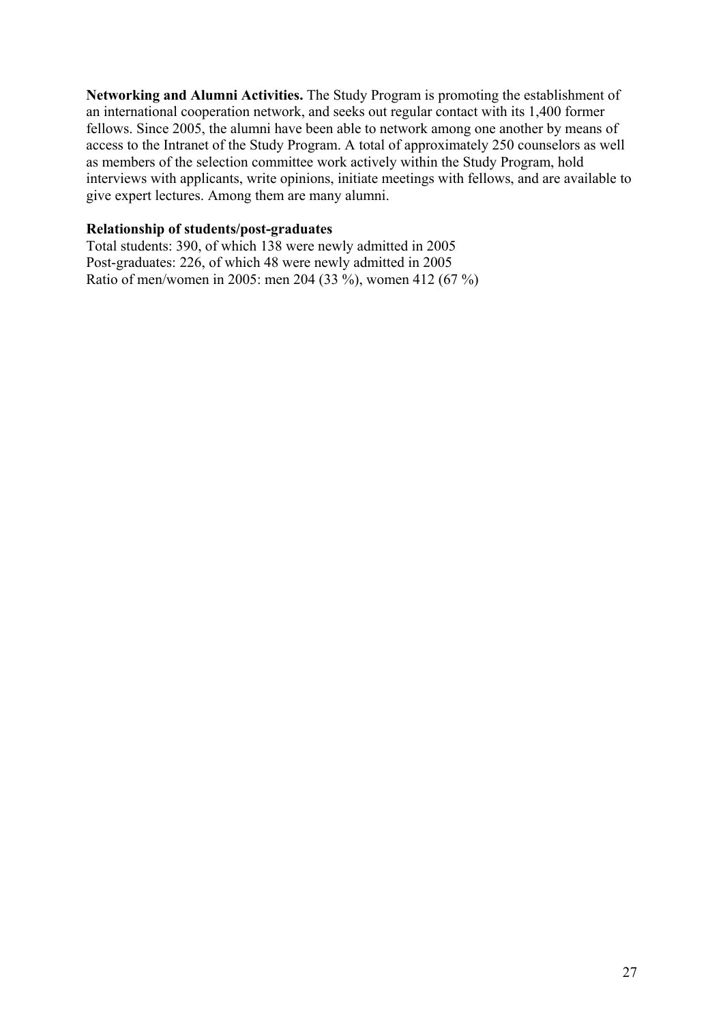**Networking and Alumni Activities.** The Study Program is promoting the establishment of an international cooperation network, and seeks out regular contact with its 1,400 former fellows. Since 2005, the alumni have been able to network among one another by means of access to the Intranet of the Study Program. A total of approximately 250 counselors as well as members of the selection committee work actively within the Study Program, hold interviews with applicants, write opinions, initiate meetings with fellows, and are available to give expert lectures. Among them are many alumni.

### **Relationship of students/post-graduates**

Total students: 390, of which 138 were newly admitted in 2005 Post-graduates: 226, of which 48 were newly admitted in 2005 Ratio of men/women in 2005: men 204 (33 %), women 412 (67 %)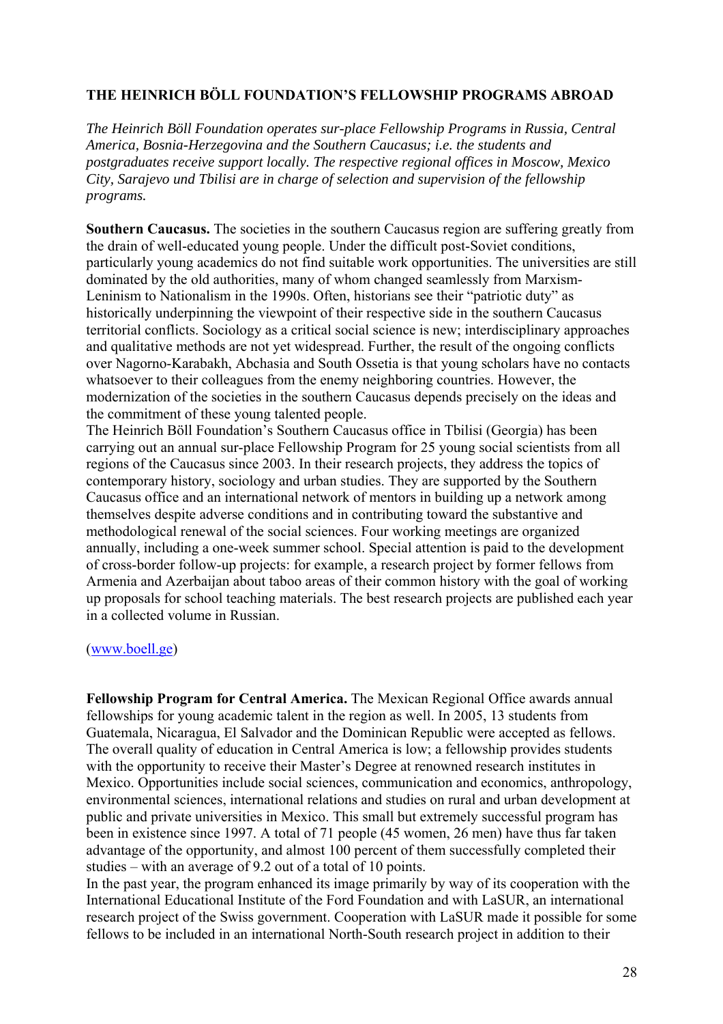# **THE HEINRICH BÖLL FOUNDATION'S FELLOWSHIP PROGRAMS ABROAD**

*The Heinrich Böll Foundation operates sur-place Fellowship Programs in Russia, Central America, Bosnia-Herzegovina and the Southern Caucasus; i.e. the students and postgraduates receive support locally. The respective regional offices in Moscow, Mexico City, Sarajevo und Tbilisi are in charge of selection and supervision of the fellowship programs.* 

**Southern Caucasus.** The societies in the southern Caucasus region are suffering greatly from the drain of well-educated young people. Under the difficult post-Soviet conditions, particularly young academics do not find suitable work opportunities. The universities are still dominated by the old authorities, many of whom changed seamlessly from Marxism-Leninism to Nationalism in the 1990s. Often, historians see their "patriotic duty" as historically underpinning the viewpoint of their respective side in the southern Caucasus territorial conflicts. Sociology as a critical social science is new; interdisciplinary approaches and qualitative methods are not yet widespread. Further, the result of the ongoing conflicts over Nagorno-Karabakh, Abchasia and South Ossetia is that young scholars have no contacts whatsoever to their colleagues from the enemy neighboring countries. However, the modernization of the societies in the southern Caucasus depends precisely on the ideas and the commitment of these young talented people.

The Heinrich Böll Foundation's Southern Caucasus office in Tbilisi (Georgia) has been carrying out an annual sur-place Fellowship Program for 25 young social scientists from all regions of the Caucasus since 2003. In their research projects, they address the topics of contemporary history, sociology and urban studies. They are supported by the Southern Caucasus office and an international network of mentors in building up a network among themselves despite adverse conditions and in contributing toward the substantive and methodological renewal of the social sciences. Four working meetings are organized annually, including a one-week summer school. Special attention is paid to the development of cross-border follow-up projects: for example, a research project by former fellows from Armenia and Azerbaijan about taboo areas of their common history with the goal of working up proposals for school teaching materials. The best research projects are published each year in a collected volume in Russian.

#### (www.boell.ge)

**Fellowship Program for Central America.** The Mexican Regional Office awards annual fellowships for young academic talent in the region as well. In 2005, 13 students from Guatemala, Nicaragua, El Salvador and the Dominican Republic were accepted as fellows. The overall quality of education in Central America is low; a fellowship provides students with the opportunity to receive their Master's Degree at renowned research institutes in Mexico. Opportunities include social sciences, communication and economics, anthropology, environmental sciences, international relations and studies on rural and urban development at public and private universities in Mexico. This small but extremely successful program has been in existence since 1997. A total of 71 people (45 women, 26 men) have thus far taken advantage of the opportunity, and almost 100 percent of them successfully completed their studies – with an average of 9.2 out of a total of 10 points.

In the past year, the program enhanced its image primarily by way of its cooperation with the International Educational Institute of the Ford Foundation and with LaSUR, an international research project of the Swiss government. Cooperation with LaSUR made it possible for some fellows to be included in an international North-South research project in addition to their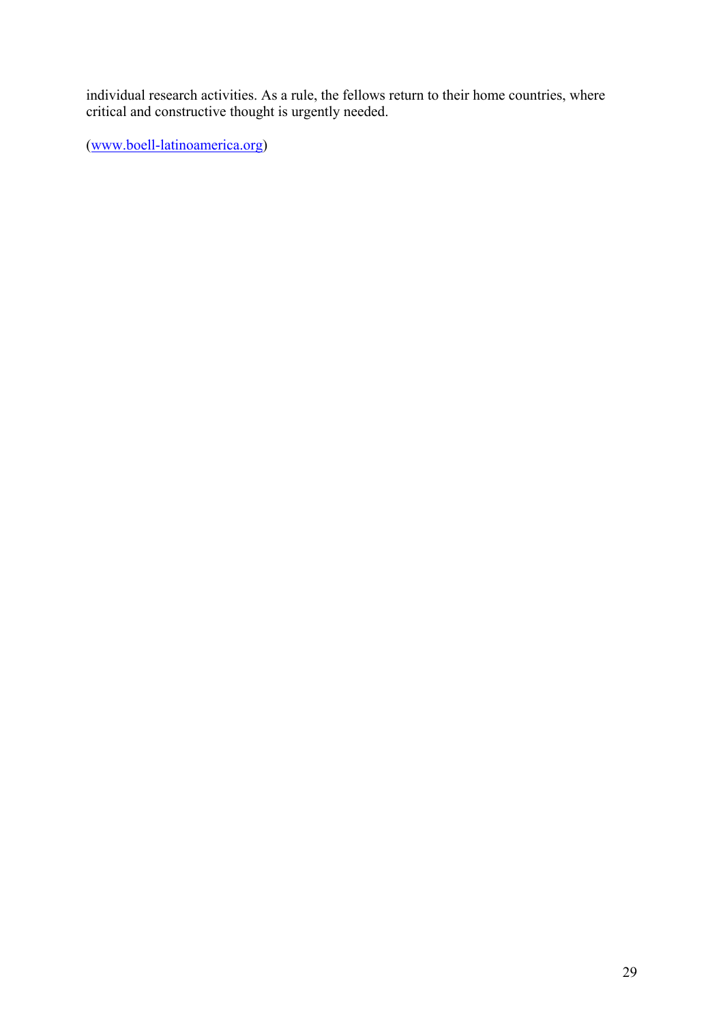individual research activities. As a rule, the fellows return to their home countries, where critical and constructive thought is urgently needed.

(www.boell-latinoamerica.org)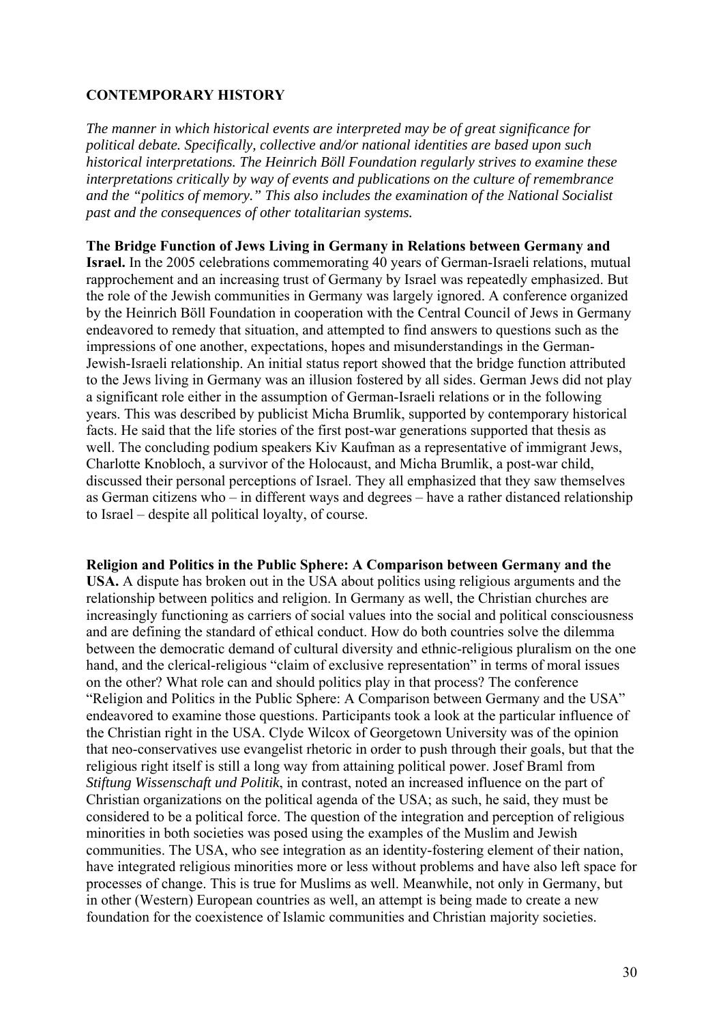# **CONTEMPORARY HISTORY**

*The manner in which historical events are interpreted may be of great significance for political debate. Specifically, collective and/or national identities are based upon such historical interpretations. The Heinrich Böll Foundation regularly strives to examine these interpretations critically by way of events and publications on the culture of remembrance and the "politics of memory." This also includes the examination of the National Socialist past and the consequences of other totalitarian systems.* 

**The Bridge Function of Jews Living in Germany in Relations between Germany and Israel.** In the 2005 celebrations commemorating 40 years of German-Israeli relations, mutual rapprochement and an increasing trust of Germany by Israel was repeatedly emphasized. But the role of the Jewish communities in Germany was largely ignored. A conference organized by the Heinrich Böll Foundation in cooperation with the Central Council of Jews in Germany endeavored to remedy that situation, and attempted to find answers to questions such as the impressions of one another, expectations, hopes and misunderstandings in the German-Jewish-Israeli relationship. An initial status report showed that the bridge function attributed to the Jews living in Germany was an illusion fostered by all sides. German Jews did not play a significant role either in the assumption of German-Israeli relations or in the following years. This was described by publicist Micha Brumlik, supported by contemporary historical facts. He said that the life stories of the first post-war generations supported that thesis as well. The concluding podium speakers Kiv Kaufman as a representative of immigrant Jews. Charlotte Knobloch, a survivor of the Holocaust, and Micha Brumlik, a post-war child, discussed their personal perceptions of Israel. They all emphasized that they saw themselves as German citizens who – in different ways and degrees – have a rather distanced relationship to Israel – despite all political loyalty, of course.

**Religion and Politics in the Public Sphere: A Comparison between Germany and the USA.** A dispute has broken out in the USA about politics using religious arguments and the relationship between politics and religion. In Germany as well, the Christian churches are increasingly functioning as carriers of social values into the social and political consciousness and are defining the standard of ethical conduct. How do both countries solve the dilemma between the democratic demand of cultural diversity and ethnic-religious pluralism on the one hand, and the clerical-religious "claim of exclusive representation" in terms of moral issues on the other? What role can and should politics play in that process? The conference "Religion and Politics in the Public Sphere: A Comparison between Germany and the USA" endeavored to examine those questions. Participants took a look at the particular influence of the Christian right in the USA. Clyde Wilcox of Georgetown University was of the opinion that neo-conservatives use evangelist rhetoric in order to push through their goals, but that the religious right itself is still a long way from attaining political power. Josef Braml from *Stiftung Wissenschaft und Politik*, in contrast, noted an increased influence on the part of Christian organizations on the political agenda of the USA; as such, he said, they must be considered to be a political force. The question of the integration and perception of religious minorities in both societies was posed using the examples of the Muslim and Jewish communities. The USA, who see integration as an identity-fostering element of their nation, have integrated religious minorities more or less without problems and have also left space for processes of change. This is true for Muslims as well. Meanwhile, not only in Germany, but in other (Western) European countries as well, an attempt is being made to create a new foundation for the coexistence of Islamic communities and Christian majority societies.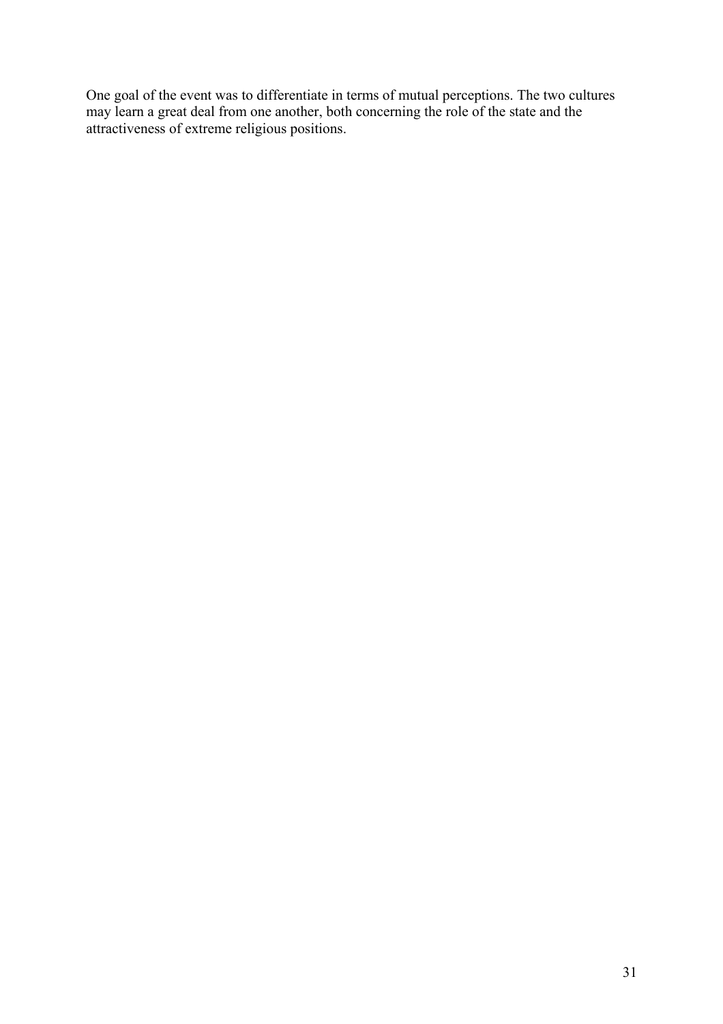One goal of the event was to differentiate in terms of mutual perceptions. The two cultures may learn a great deal from one another, both concerning the role of the state and the attractiveness of extreme religious positions.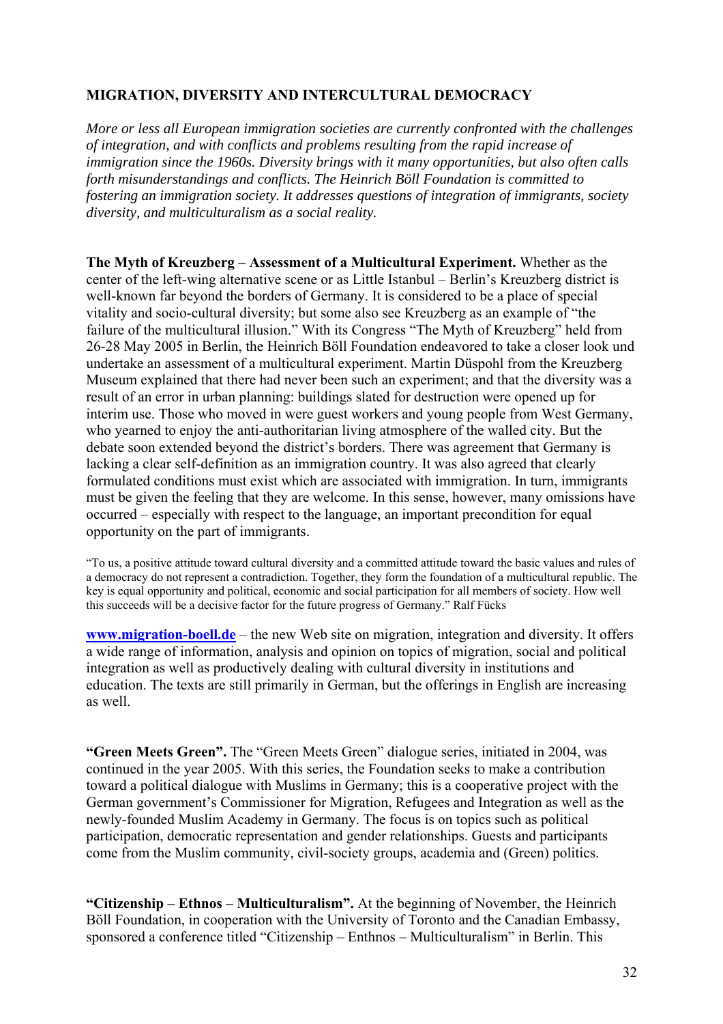# **MIGRATION, DIVERSITY AND INTERCULTURAL DEMOCRACY**

*More or less all European immigration societies are currently confronted with the challenges of integration, and with conflicts and problems resulting from the rapid increase of immigration since the 1960s. Diversity brings with it many opportunities, but also often calls forth misunderstandings and conflicts. The Heinrich Böll Foundation is committed to fostering an immigration society. It addresses questions of integration of immigrants, society diversity, and multiculturalism as a social reality.* 

**The Myth of Kreuzberg – Assessment of a Multicultural Experiment.** Whether as the center of the left-wing alternative scene or as Little Istanbul – Berlin's Kreuzberg district is well-known far beyond the borders of Germany. It is considered to be a place of special vitality and socio-cultural diversity; but some also see Kreuzberg as an example of "the failure of the multicultural illusion." With its Congress "The Myth of Kreuzberg" held from 26-28 May 2005 in Berlin, the Heinrich Böll Foundation endeavored to take a closer look und undertake an assessment of a multicultural experiment. Martin Düspohl from the Kreuzberg Museum explained that there had never been such an experiment; and that the diversity was a result of an error in urban planning: buildings slated for destruction were opened up for interim use. Those who moved in were guest workers and young people from West Germany, who yearned to enjoy the anti-authoritarian living atmosphere of the walled city. But the debate soon extended beyond the district's borders. There was agreement that Germany is lacking a clear self-definition as an immigration country. It was also agreed that clearly formulated conditions must exist which are associated with immigration. In turn, immigrants must be given the feeling that they are welcome. In this sense, however, many omissions have occurred – especially with respect to the language, an important precondition for equal opportunity on the part of immigrants.

"To us, a positive attitude toward cultural diversity and a committed attitude toward the basic values and rules of a democracy do not represent a contradiction. Together, they form the foundation of a multicultural republic. The key is equal opportunity and political, economic and social participation for all members of society. How well this succeeds will be a decisive factor for the future progress of Germany." Ralf Fücks

**www.migration-boell.de** – the new Web site on migration, integration and diversity. It offers a wide range of information, analysis and opinion on topics of migration, social and political integration as well as productively dealing with cultural diversity in institutions and education. The texts are still primarily in German, but the offerings in English are increasing as well.

**"Green Meets Green".** The "Green Meets Green" dialogue series, initiated in 2004, was continued in the year 2005. With this series, the Foundation seeks to make a contribution toward a political dialogue with Muslims in Germany; this is a cooperative project with the German government's Commissioner for Migration, Refugees and Integration as well as the newly-founded Muslim Academy in Germany. The focus is on topics such as political participation, democratic representation and gender relationships. Guests and participants come from the Muslim community, civil-society groups, academia and (Green) politics.

**"Citizenship – Ethnos – Multiculturalism".** At the beginning of November, the Heinrich Böll Foundation, in cooperation with the University of Toronto and the Canadian Embassy, sponsored a conference titled "Citizenship – Enthnos – Multiculturalism" in Berlin. This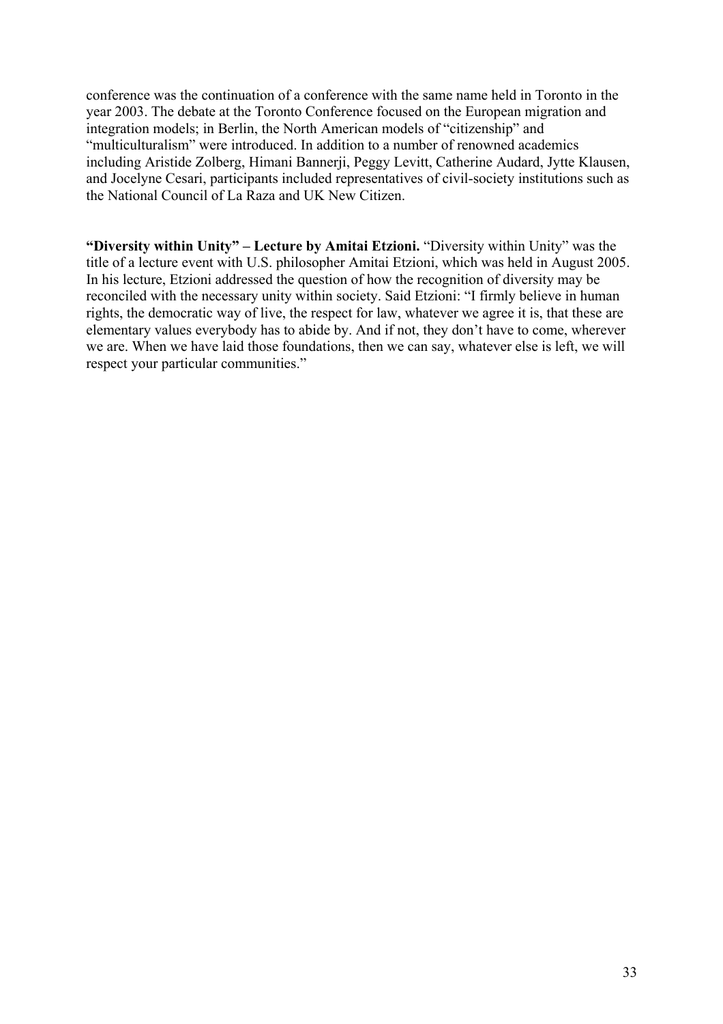conference was the continuation of a conference with the same name held in Toronto in the year 2003. The debate at the Toronto Conference focused on the European migration and integration models; in Berlin, the North American models of "citizenship" and "multiculturalism" were introduced. In addition to a number of renowned academics including Aristide Zolberg, Himani Bannerji, Peggy Levitt, Catherine Audard, Jytte Klausen, and Jocelyne Cesari, participants included representatives of civil-society institutions such as the National Council of La Raza and UK New Citizen.

**"Diversity within Unity" – Lecture by Amitai Etzioni.** "Diversity within Unity" was the title of a lecture event with U.S. philosopher Amitai Etzioni, which was held in August 2005. In his lecture, Etzioni addressed the question of how the recognition of diversity may be reconciled with the necessary unity within society. Said Etzioni: "I firmly believe in human rights, the democratic way of live, the respect for law, whatever we agree it is, that these are elementary values everybody has to abide by. And if not, they don't have to come, wherever we are. When we have laid those foundations, then we can say, whatever else is left, we will respect your particular communities."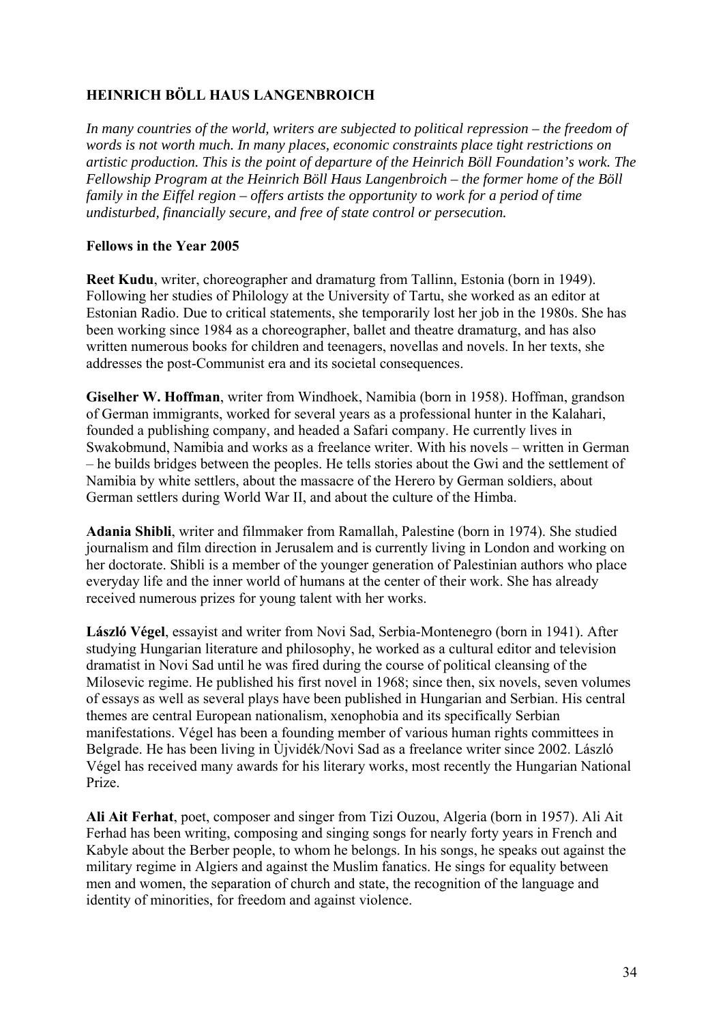# **HEINRICH BÖLL HAUS LANGENBROICH**

*In many countries of the world, writers are subjected to political repression – the freedom of words is not worth much. In many places, economic constraints place tight restrictions on artistic production. This is the point of departure of the Heinrich Böll Foundation's work. The Fellowship Program at the Heinrich Böll Haus Langenbroich – the former home of the Böll family in the Eiffel region – offers artists the opportunity to work for a period of time undisturbed, financially secure, and free of state control or persecution.* 

# **Fellows in the Year 2005**

**Reet Kudu**, writer, choreographer and dramaturg from Tallinn, Estonia (born in 1949). Following her studies of Philology at the University of Tartu, she worked as an editor at Estonian Radio. Due to critical statements, she temporarily lost her job in the 1980s. She has been working since 1984 as a choreographer, ballet and theatre dramaturg, and has also written numerous books for children and teenagers, novellas and novels. In her texts, she addresses the post-Communist era and its societal consequences.

**Giselher W. Hoffman**, writer from Windhoek, Namibia (born in 1958). Hoffman, grandson of German immigrants, worked for several years as a professional hunter in the Kalahari, founded a publishing company, and headed a Safari company. He currently lives in Swakobmund, Namibia and works as a freelance writer. With his novels – written in German – he builds bridges between the peoples. He tells stories about the Gwi and the settlement of Namibia by white settlers, about the massacre of the Herero by German soldiers, about German settlers during World War II, and about the culture of the Himba.

**Adania Shibli**, writer and filmmaker from Ramallah, Palestine (born in 1974). She studied journalism and film direction in Jerusalem and is currently living in London and working on her doctorate. Shibli is a member of the younger generation of Palestinian authors who place everyday life and the inner world of humans at the center of their work. She has already received numerous prizes for young talent with her works.

**László Végel**, essayist and writer from Novi Sad, Serbia-Montenegro (born in 1941). After studying Hungarian literature and philosophy, he worked as a cultural editor and television dramatist in Novi Sad until he was fired during the course of political cleansing of the Milosevic regime. He published his first novel in 1968; since then, six novels, seven volumes of essays as well as several plays have been published in Hungarian and Serbian. His central themes are central European nationalism, xenophobia and its specifically Serbian manifestations. Végel has been a founding member of various human rights committees in Belgrade. He has been living in Ùjvidék/Novi Sad as a freelance writer since 2002. László Végel has received many awards for his literary works, most recently the Hungarian National Prize.

**Ali Ait Ferhat**, poet, composer and singer from Tizi Ouzou, Algeria (born in 1957). Ali Ait Ferhad has been writing, composing and singing songs for nearly forty years in French and Kabyle about the Berber people, to whom he belongs. In his songs, he speaks out against the military regime in Algiers and against the Muslim fanatics. He sings for equality between men and women, the separation of church and state, the recognition of the language and identity of minorities, for freedom and against violence.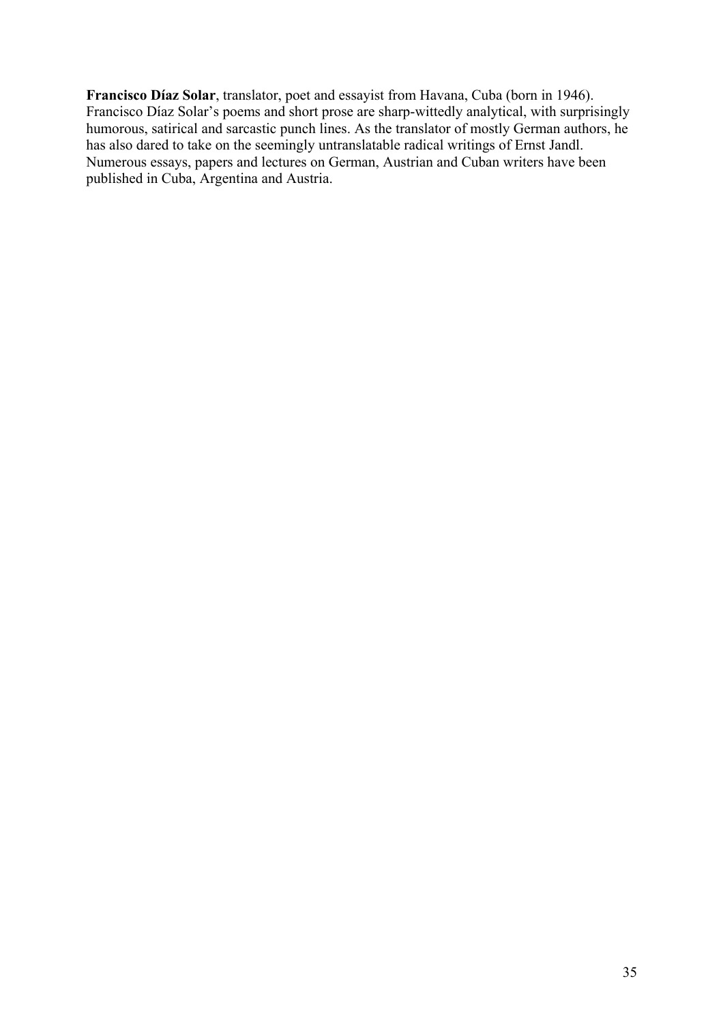**Francisco Díaz Solar**, translator, poet and essayist from Havana, Cuba (born in 1946). Francisco Díaz Solar's poems and short prose are sharp-wittedly analytical, with surprisingly humorous, satirical and sarcastic punch lines. As the translator of mostly German authors, he has also dared to take on the seemingly untranslatable radical writings of Ernst Jandl. Numerous essays, papers and lectures on German, Austrian and Cuban writers have been published in Cuba, Argentina and Austria.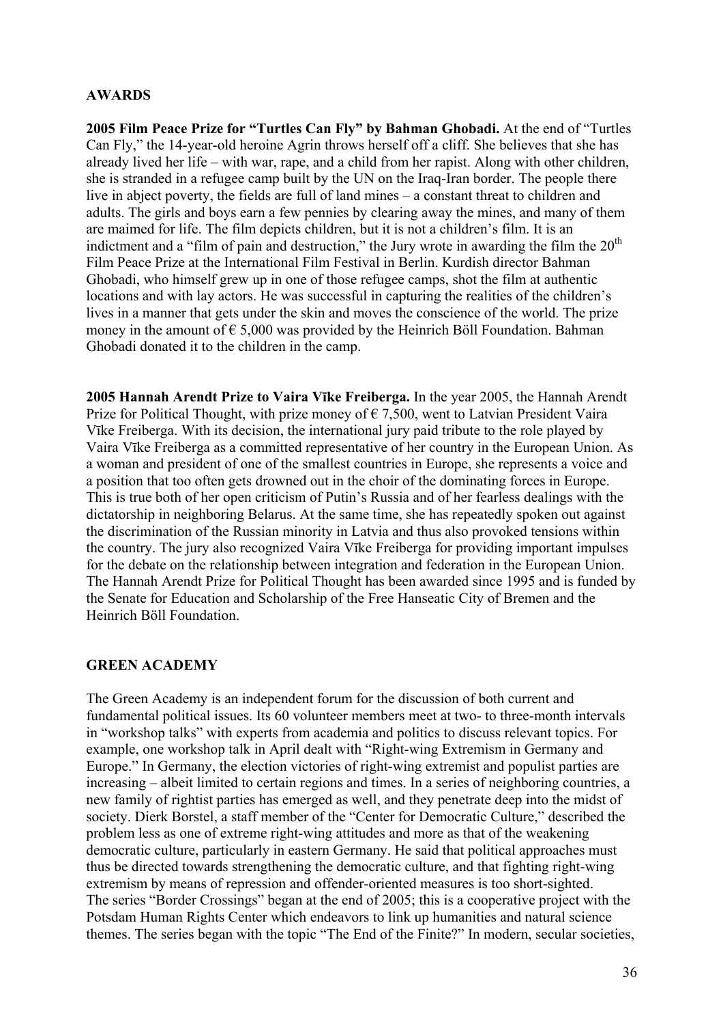### **AWARDS**

**2005 Film Peace Prize for "Turtles Can Fly" by Bahman Ghobadi.** At the end of "Turtles Can Fly," the 14-year-old heroine Agrin throws herself off a cliff. She believes that she has already lived her life – with war, rape, and a child from her rapist. Along with other children, she is stranded in a refugee camp built by the UN on the Iraq-Iran border. The people there live in abject poverty, the fields are full of land mines – a constant threat to children and adults. The girls and boys earn a few pennies by clearing away the mines, and many of them are maimed for life. The film depicts children, but it is not a children's film. It is an indictment and a "film of pain and destruction," the Jury wrote in awarding the film the  $20<sup>th</sup>$ Film Peace Prize at the International Film Festival in Berlin. Kurdish director Bahman Ghobadi, who himself grew up in one of those refugee camps, shot the film at authentic locations and with lay actors. He was successful in capturing the realities of the children's lives in a manner that gets under the skin and moves the conscience of the world. The prize money in the amount of  $\epsilon$  5,000 was provided by the Heinrich Böll Foundation. Bahman Ghobadi donated it to the children in the camp.

**2005 Hannah Arendt Prize to Vaira Vīke Freiberga.** In the year 2005, the Hannah Arendt Prize for Political Thought, with prize money of  $\epsilon$  7,500, went to Latvian President Vaira Vīke Freiberga. With its decision, the international jury paid tribute to the role played by Vaira Vīke Freiberga as a committed representative of her country in the European Union. As a woman and president of one of the smallest countries in Europe, she represents a voice and a position that too often gets drowned out in the choir of the dominating forces in Europe. This is true both of her open criticism of Putin's Russia and of her fearless dealings with the dictatorship in neighboring Belarus. At the same time, she has repeatedly spoken out against the discrimination of the Russian minority in Latvia and thus also provoked tensions within the country. The jury also recognized Vaira Vīke Freiberga for providing important impulses for the debate on the relationship between integration and federation in the European Union. The Hannah Arendt Prize for Political Thought has been awarded since 1995 and is funded by the Senate for Education and Scholarship of the Free Hanseatic City of Bremen and the Heinrich Böll Foundation.

# **GREEN ACADEMY**

The Green Academy is an independent forum for the discussion of both current and fundamental political issues. Its 60 volunteer members meet at two- to three-month intervals in "workshop talks" with experts from academia and politics to discuss relevant topics. For example, one workshop talk in April dealt with "Right-wing Extremism in Germany and Europe." In Germany, the election victories of right-wing extremist and populist parties are increasing – albeit limited to certain regions and times. In a series of neighboring countries, a new family of rightist parties has emerged as well, and they penetrate deep into the midst of society. Dierk Borstel, a staff member of the "Center for Democratic Culture," described the problem less as one of extreme right-wing attitudes and more as that of the weakening democratic culture, particularly in eastern Germany. He said that political approaches must thus be directed towards strengthening the democratic culture, and that fighting right-wing extremism by means of repression and offender-oriented measures is too short-sighted. The series "Border Crossings" began at the end of 2005; this is a cooperative project with the Potsdam Human Rights Center which endeavors to link up humanities and natural science themes. The series began with the topic "The End of the Finite?" In modern, secular societies,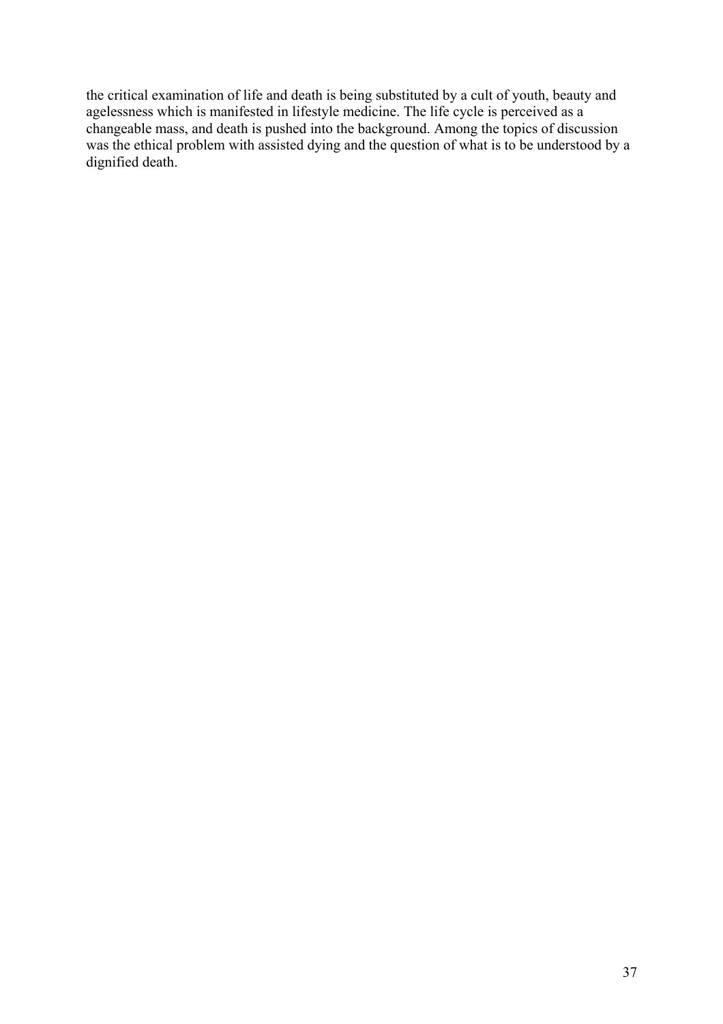the critical examination of life and death is being substituted by a cult of youth, beauty and agelessness which is manifested in lifestyle medicine. The life cycle is perceived as a changeable mass, and death is pushed into the background. Among the topics of discussion was the ethical problem with assisted dying and the question of what is to be understood by a dignified death.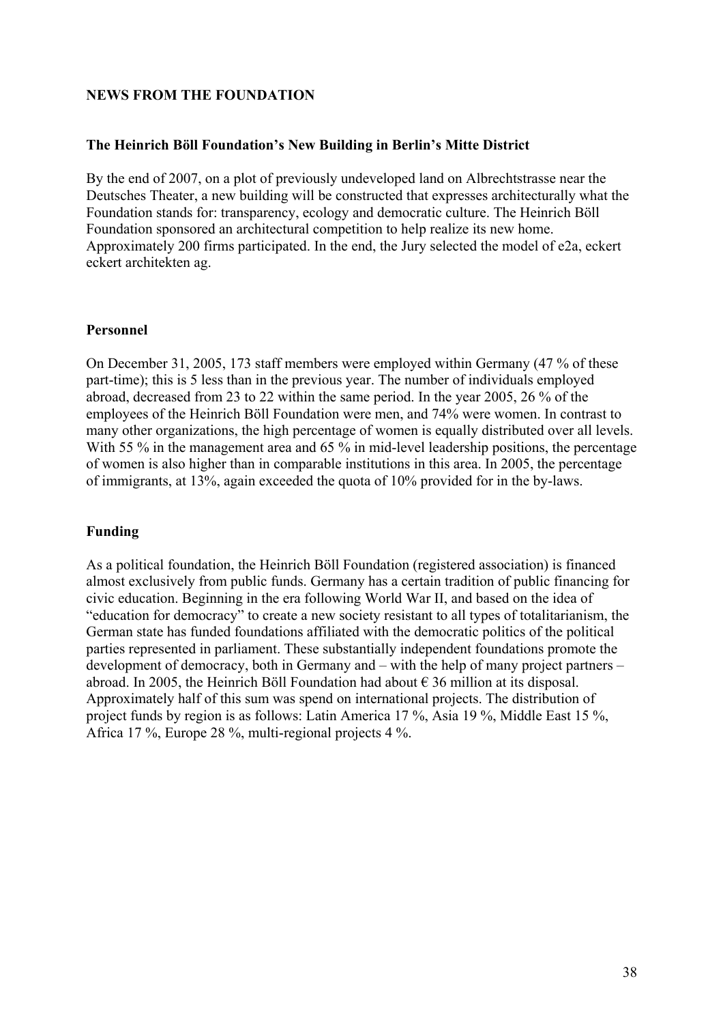### **NEWS FROM THE FOUNDATION**

### **The Heinrich Böll Foundation's New Building in Berlin's Mitte District**

By the end of 2007, on a plot of previously undeveloped land on Albrechtstrasse near the Deutsches Theater, a new building will be constructed that expresses architecturally what the Foundation stands for: transparency, ecology and democratic culture. The Heinrich Böll Foundation sponsored an architectural competition to help realize its new home. Approximately 200 firms participated. In the end, the Jury selected the model of e2a, eckert eckert architekten ag.

### **Personnel**

On December 31, 2005, 173 staff members were employed within Germany (47 % of these part-time); this is 5 less than in the previous year. The number of individuals employed abroad, decreased from 23 to 22 within the same period. In the year 2005, 26 % of the employees of the Heinrich Böll Foundation were men, and 74% were women. In contrast to many other organizations, the high percentage of women is equally distributed over all levels. With 55 % in the management area and 65 % in mid-level leadership positions, the percentage of women is also higher than in comparable institutions in this area. In 2005, the percentage of immigrants, at 13%, again exceeded the quota of 10% provided for in the by-laws.

# **Funding**

As a political foundation, the Heinrich Böll Foundation (registered association) is financed almost exclusively from public funds. Germany has a certain tradition of public financing for civic education. Beginning in the era following World War II, and based on the idea of "education for democracy" to create a new society resistant to all types of totalitarianism, the German state has funded foundations affiliated with the democratic politics of the political parties represented in parliament. These substantially independent foundations promote the development of democracy, both in Germany and – with the help of many project partners – abroad. In 2005, the Heinrich Böll Foundation had about  $\epsilon$  36 million at its disposal. Approximately half of this sum was spend on international projects. The distribution of project funds by region is as follows: Latin America 17 %, Asia 19 %, Middle East 15 %, Africa 17 %, Europe 28 %, multi-regional projects 4 %.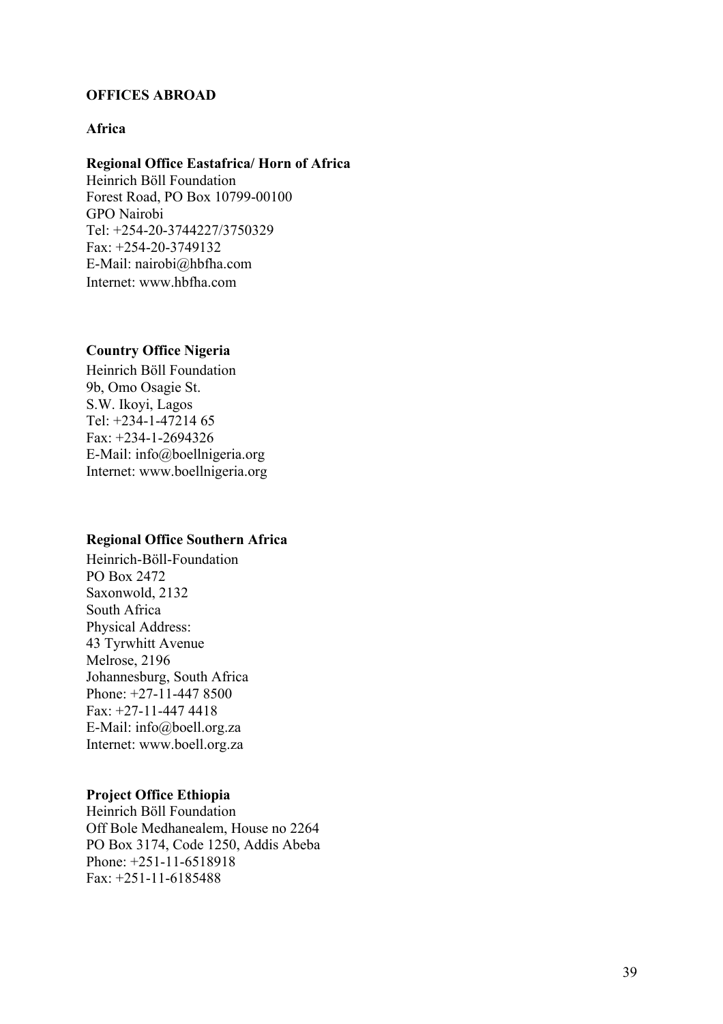### **OFFICES ABROAD**

### **Africa**

#### **Regional Office Eastafrica/ Horn of Africa**

Heinrich Böll Foundation Forest Road, PO Box 10799-00100 GPO Nairobi Tel: +254-20-3744227/3750329 Fax: +254-20-3749132 E-Mail: nairobi@hbfha.com Internet: www.hbfha.com

# **Country Office Nigeria**

Heinrich Böll Foundation 9b, Omo Osagie St. S.W. Ikoyi, Lagos Tel: +234-1-47214 65 Fax: +234-1-2694326 E-Mail: info@boellnigeria.org Internet: www.boellnigeria.org

#### **Regional Office Southern Africa**

Heinrich-Böll-Foundation PO Box 2472 Saxonwold, 2132 South Africa Physical Address: 43 Tyrwhitt Avenue Melrose, 2196 Johannesburg, South Africa Phone: +27-11-447 8500 Fax: +27-11-447 4418 E-Mail: info@boell.org.za Internet: www.boell.org.za

#### **Project Office Ethiopia**

Heinrich Böll Foundation Off Bole Medhanealem, House no 2264 PO Box 3174, Code 1250, Addis Abeba Phone: +251-11-6518918 Fax: +251-11-6185488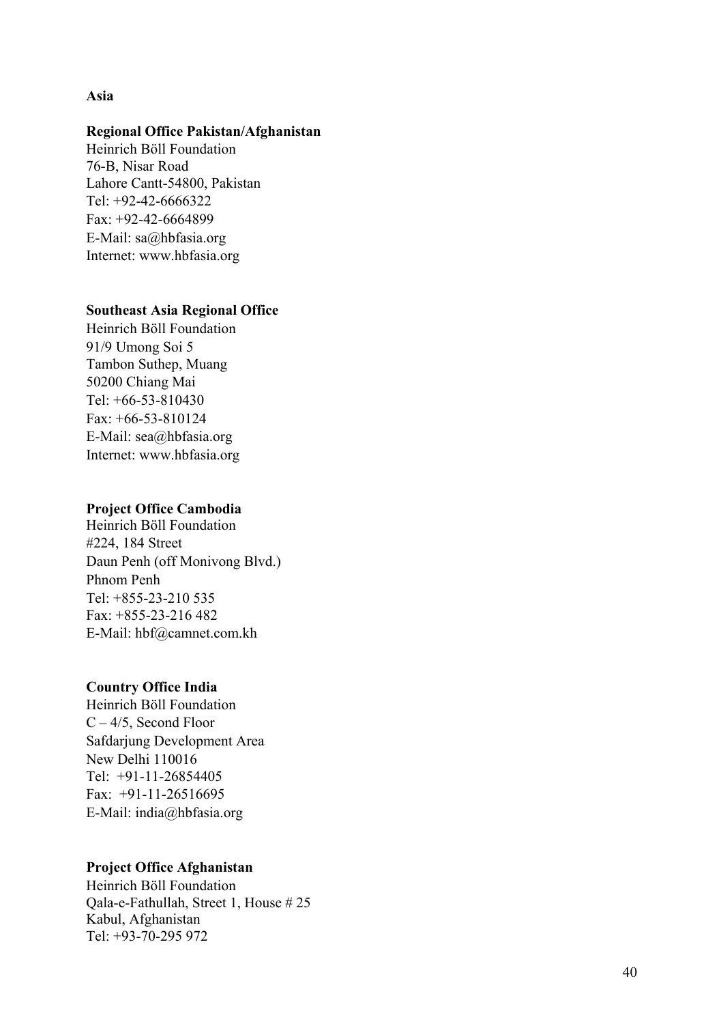#### **Asia**

### **Regional Office Pakistan/Afghanistan**

Heinrich Böll Foundation 76-B, Nisar Road Lahore Cantt-54800, Pakistan Tel: +92-42-6666322 Fax: +92-42-6664899 E-Mail: sa@hbfasia.org Internet: www.hbfasia.org

#### **Southeast Asia Regional Office**

Heinrich Böll Foundation 91/9 Umong Soi 5 Tambon Suthep, Muang 50200 Chiang Mai Tel:  $+66-53-810430$ Fax: +66-53-810124 E-Mail: sea@hbfasia.org Internet: www.hbfasia.org

#### **Project Office Cambodia**

Heinrich Böll Foundation #224, 184 Street Daun Penh (off Monivong Blvd.) Phnom Penh Tel: +855-23-210 535 Fax: +855-23-216 482 E-Mail: hbf@camnet.com.kh

# **Country Office India**

Heinrich Böll Foundation  $C - 4/5$ , Second Floor Safdarjung Development Area New Delhi 110016 Tel: +91-11-26854405 Fax: +91-11-26516695 E-Mail: india@hbfasia.org

# **Project Office Afghanistan**

Heinrich Böll Foundation Qala-e-Fathullah, Street 1, House # 25 Kabul, Afghanistan Tel: +93-70-295 972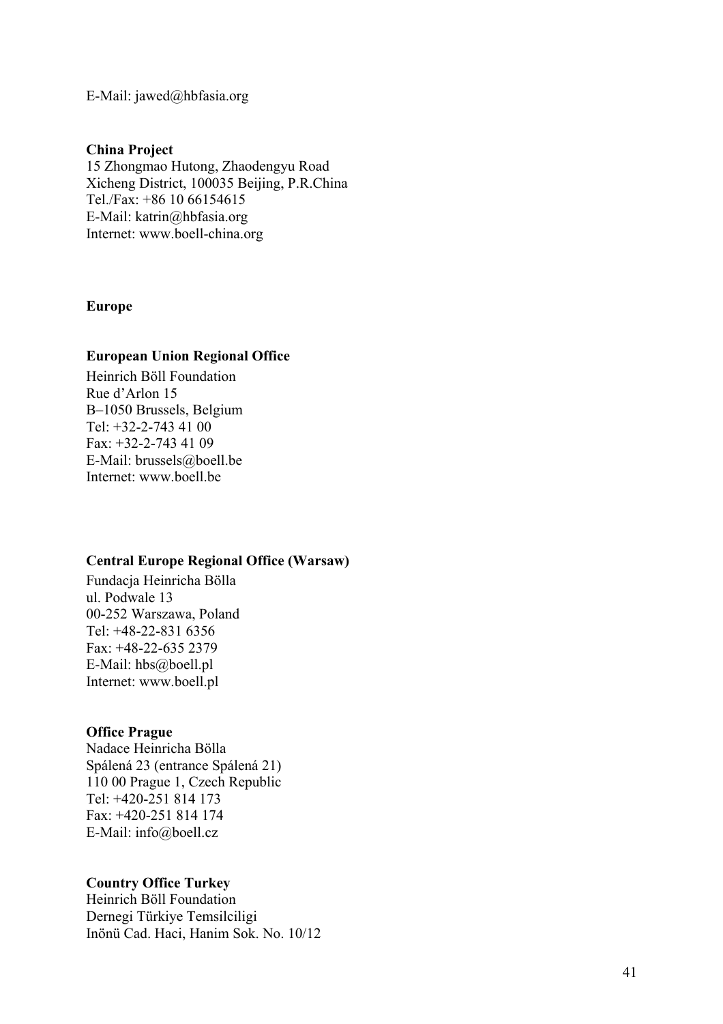E-Mail: jawed@hbfasia.org

#### **China Project**

15 Zhongmao Hutong, Zhaodengyu Road Xicheng District, 100035 Beijing, P.R.China Tel./Fax: +86 10 66154615 E-Mail: katrin@hbfasia.org Internet: www.boell-china.org

#### **Europe**

### **European Union Regional Office**

Heinrich Böll Foundation Rue d'Arlon 15 B–1050 Brussels, Belgium Tel:  $+32-2-743$  41 00 Fax: +32-2-743 41 09 E-Mail: brussels@boell.be Internet: www.boell.be

#### **Central Europe Regional Office (Warsaw)**

Fundacja Heinricha Bölla ul. Podwale 13 00-252 Warszawa, Poland Tel: +48-22-831 6356 Fax: +48-22-635 2379 E-Mail: hbs@boell.pl Internet: www.boell.pl

#### **Office Prague**

Nadace Heinricha Bölla Spálená 23 (entrance Spálená 21) 110 00 Prague 1, Czech Republic Tel: +420-251 814 173 Fax: +420-251 814 174 E-Mail: info@boell.cz

#### **Country Office Turkey**

Heinrich Böll Foundation Dernegi Türkiye Temsilciligi Inönü Cad. Haci, Hanim Sok. No. 10/12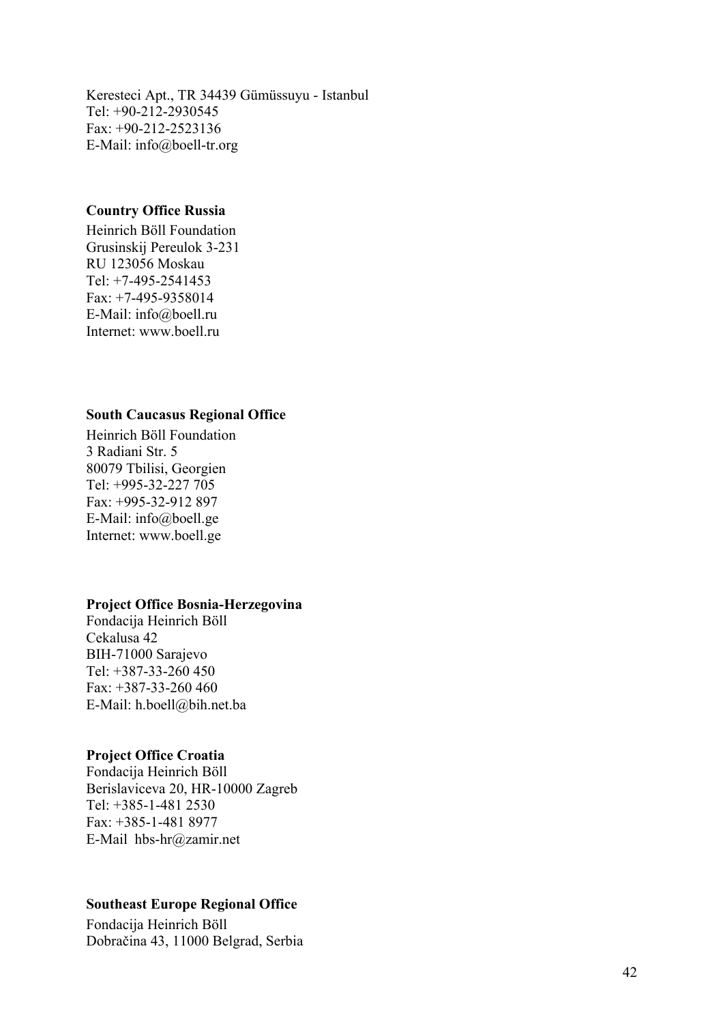Keresteci Apt., TR 34439 Gümüssuyu - Istanbul Tel: +90-212-2930545 Fax: +90-212-2523136 E-Mail: info@boell-tr.org

### **Country Office Russia**

Heinrich Böll Foundation Grusinskij Pereulok 3-231 RU 123056 Moskau Tel: +7-495-2541453 Fax: +7-495-9358014 E-Mail: info@boell.ru Internet: www.boell.ru

#### **South Caucasus Regional Office**

Heinrich Böll Foundation 3 Radiani Str. 5 80079 Tbilisi, Georgien Tel: +995-32-227 705 Fax: +995-32-912 897 E-Mail: info@boell.ge Internet: www.boell.ge

#### **Project Office Bosnia-Herzegovina**

Fondacija Heinrich Böll Cekalusa 42 BIH-71000 Sarajevo Tel: +387-33-260 450 Fax: +387-33-260 460 E-Mail: h.boell@bih.net.ba

#### **Project Office Croatia**

Fondacija Heinrich Böll Berislaviceva 20, HR-10000 Zagreb Tel: +385-1-481 2530 Fax: +385-1-481 8977 E-Mail hbs-hr@zamir.net

#### **Southeast Europe Regional Office**

Fondacija Heinrich Böll Dobračina 43, 11000 Belgrad, Serbia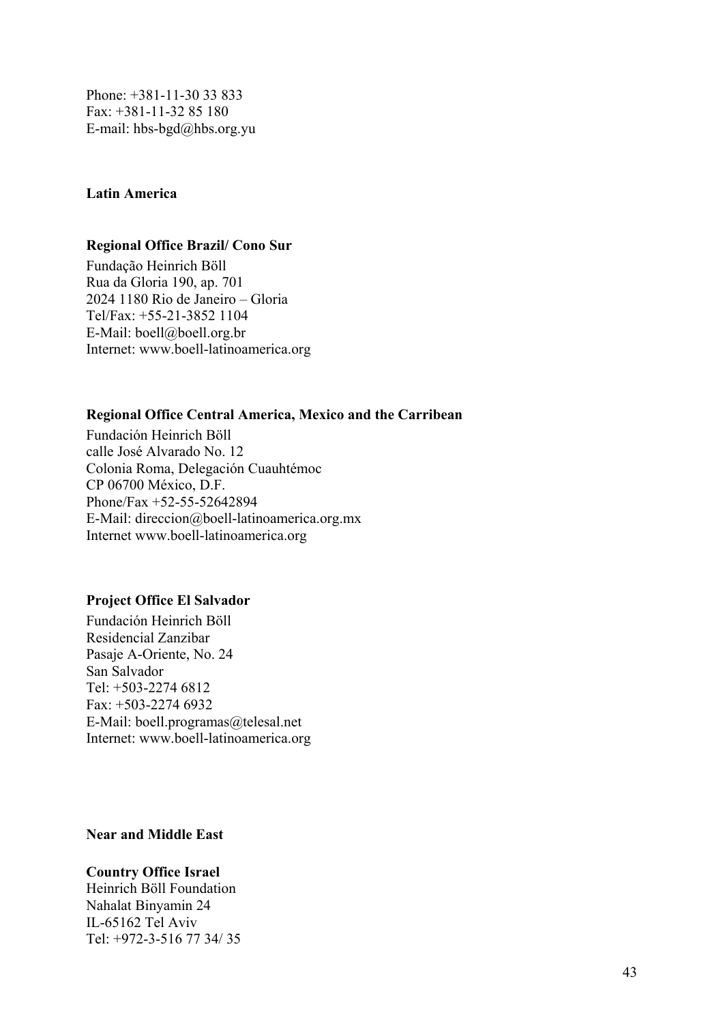Phone: +381-11-30 33 833 Fax: +381-11-32 85 180 E-mail: hbs-bgd@hbs.org.yu

### **Latin America**

### **Regional Office Brazil/ Cono Sur**

Fundação Heinrich Böll Rua da Gloria 190, ap. 701 2024 1180 Rio de Janeiro – Gloria Tel/Fax: +55-21-3852 1104 E-Mail: boell@boell.org.br Internet: www.boell-latinoamerica.org

### **Regional Office Central America, Mexico and the Carribean**

Fundación Heinrich Böll calle José Alvarado No. 12 Colonia Roma, Delegación Cuauhtémoc CP 06700 México, D.F. Phone/Fax +52-55-52642894 E-Mail: direccion@boell-latinoamerica.org.mx Internet www.boell-latinoamerica.org

#### **Project Office El Salvador**

Fundación Heinrich Böll Residencial Zanzibar Pasaje A-Oriente, No. 24 San Salvador Tel: +503-2274 6812 Fax: +503-2274 6932 E-Mail: boell.programas@telesal.net Internet: www.boell-latinoamerica.org

**Near and Middle East** 

# **Country Office Israel**

Heinrich Böll Foundation Nahalat Binyamin 24 IL-65162 Tel Aviv Tel: +972-3-516 77 34/ 35